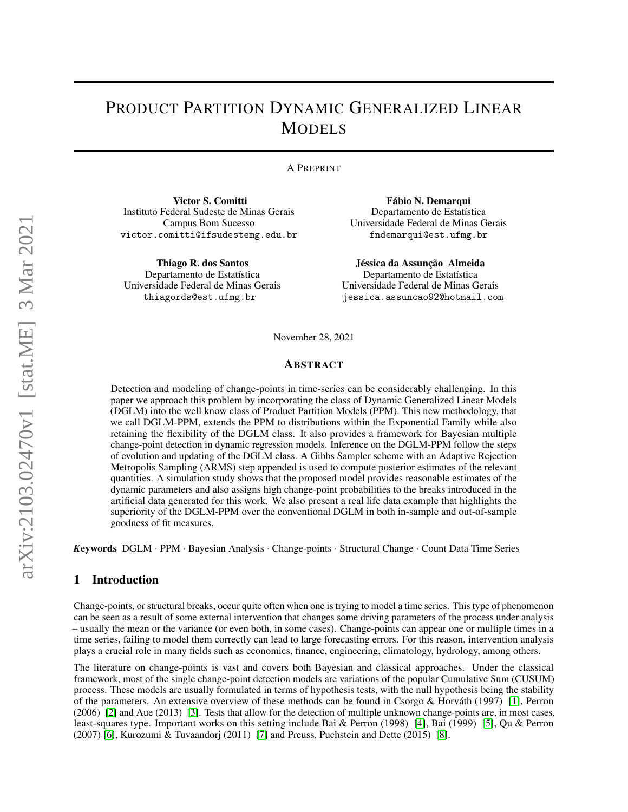# PRODUCT PARTITION DYNAMIC GENERALIZED LINEAR MODELS

## A PREPRINT

Victor S. Comitti Instituto Federal Sudeste de Minas Gerais Campus Bom Sucesso victor.comitti@ifsudestemg.edu.br

Thiago R. dos Santos Departamento de Estatística Universidade Federal de Minas Gerais thiagords@est.ufmg.br

Fábio N. Demarqui Departamento de Estatística Universidade Federal de Minas Gerais fndemarqui@est.ufmg.br

Jéssica da Assunção Almeida Departamento de Estatística Universidade Federal de Minas Gerais jessica.assuncao92@hotmail.com

November 28, 2021

### ABSTRACT

Detection and modeling of change-points in time-series can be considerably challenging. In this paper we approach this problem by incorporating the class of Dynamic Generalized Linear Models (DGLM) into the well know class of Product Partition Models (PPM). This new methodology, that we call DGLM-PPM, extends the PPM to distributions within the Exponential Family while also retaining the flexibility of the DGLM class. It also provides a framework for Bayesian multiple change-point detection in dynamic regression models. Inference on the DGLM-PPM follow the steps of evolution and updating of the DGLM class. A Gibbs Sampler scheme with an Adaptive Rejection Metropolis Sampling (ARMS) step appended is used to compute posterior estimates of the relevant quantities. A simulation study shows that the proposed model provides reasonable estimates of the dynamic parameters and also assigns high change-point probabilities to the breaks introduced in the artificial data generated for this work. We also present a real life data example that highlights the superiority of the DGLM-PPM over the conventional DGLM in both in-sample and out-of-sample goodness of fit measures.

*K*eywords DGLM · PPM · Bayesian Analysis · Change-points · Structural Change · Count Data Time Series

# 1 Introduction

Change-points, or structural breaks, occur quite often when one is trying to model a time series. This type of phenomenon can be seen as a result of some external intervention that changes some driving parameters of the process under analysis – usually the mean or the variance (or even both, in some cases). Change-points can appear one or multiple times in a time series, failing to model them correctly can lead to large forecasting errors. For this reason, intervention analysis plays a crucial role in many fields such as economics, finance, engineering, climatology, hydrology, among others.

The literature on change-points is vast and covers both Bayesian and classical approaches. Under the classical framework, most of the single change-point detection models are variations of the popular Cumulative Sum (CUSUM) process. These models are usually formulated in terms of hypothesis tests, with the null hypothesis being the stability of the parameters. An extensive overview of these methods can be found in Csorgo & Horváth (1997) [\[1\]](#page-18-0), Perron (2006) [\[2\]](#page-18-1) and Aue (2013) [\[3\]](#page-18-2). Tests that allow for the detection of multiple unknown change-points are, in most cases, least-squares type. Important works on this setting include Bai & Perron (1998) [\[4\]](#page-18-3), Bai (1999) [\[5\]](#page-18-4), Qu & Perron (2007) [\[6\]](#page-18-5), Kurozumi & Tuvaandorj (2011) [\[7\]](#page-18-6) and Preuss, Puchstein and Dette (2015) [\[8\]](#page-18-7).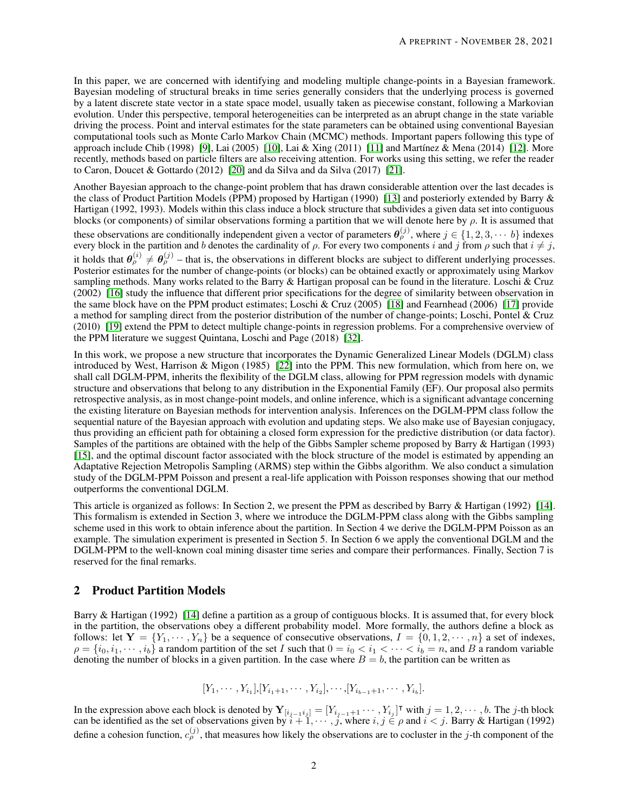In this paper, we are concerned with identifying and modeling multiple change-points in a Bayesian framework. Bayesian modeling of structural breaks in time series generally considers that the underlying process is governed by a latent discrete state vector in a state space model, usually taken as piecewise constant, following a Markovian evolution. Under this perspective, temporal heterogeneities can be interpreted as an abrupt change in the state variable driving the process. Point and interval estimates for the state parameters can be obtained using conventional Bayesian computational tools such as Monte Carlo Markov Chain (MCMC) methods. Important papers following this type of approach include Chib (1998) [\[9\]](#page-18-8), Lai (2005) [\[10\]](#page-19-0), Lai & Xing (2011) [\[11\]](#page-19-1) and Martínez & Mena (2014) [\[12\]](#page-19-2). More recently, methods based on particle filters are also receiving attention. For works using this setting, we refer the reader to Caron, Doucet & Gottardo (2012) [\[20\]](#page-19-3) and da Silva and da Silva (2017) [\[21\]](#page-19-4).

Another Bayesian approach to the change-point problem that has drawn considerable attention over the last decades is the class of Product Partition Models (PPM) proposed by Hartigan (1990) [\[13\]](#page-19-5) and posteriorly extended by Barry & Hartigan (1992, 1993). Models within this class induce a block structure that subdivides a given data set into contiguous blocks (or components) of similar observations forming a partition that we will denote here by  $\rho$ . It is assumed that these observations are conditionally independent given a vector of parameters  $\theta_{\rho}^{(j)}$ , where  $j \in \{1, 2, 3, \cdots, b\}$  indexes every block in the partition and b denotes the cardinality of  $\rho$ . For every two components i and j from  $\rho$  such that  $i \neq j$ , it holds that  $\theta_{\rho}^{(i)} \neq \theta_{\rho}^{(j)}$  – that is, the observations in different blocks are subject to different underlying processes. Posterior estimates for the number of change-points (or blocks) can be obtained exactly or approximately using Markov sampling methods. Many works related to the Barry & Hartigan proposal can be found in the literature. Loschi & Cruz (2002) [\[16\]](#page-19-6) study the influence that different prior specifications for the degree of similarity between observation in the same block have on the PPM product estimates; Loschi & Cruz (2005) [\[18\]](#page-19-7) and Fearnhead (2006) [\[17\]](#page-19-8) provide a method for sampling direct from the posterior distribution of the number of change-points; Loschi, Pontel & Cruz (2010) [\[19\]](#page-19-9) extend the PPM to detect multiple change-points in regression problems. For a comprehensive overview of the PPM literature we suggest Quintana, Loschi and Page (2018) [\[32\]](#page-19-10).

In this work, we propose a new structure that incorporates the Dynamic Generalized Linear Models (DGLM) class introduced by West, Harrison & Migon (1985) [\[22\]](#page-19-11) into the PPM. This new formulation, which from here on, we shall call DGLM-PPM, inherits the flexibility of the DGLM class, allowing for PPM regression models with dynamic structure and observations that belong to any distribution in the Exponential Family (EF). Our proposal also permits retrospective analysis, as in most change-point models, and online inference, which is a significant advantage concerning the existing literature on Bayesian methods for intervention analysis. Inferences on the DGLM-PPM class follow the sequential nature of the Bayesian approach with evolution and updating steps. We also make use of Bayesian conjugacy, thus providing an efficient path for obtaining a closed form expression for the predictive distribution (or data factor). Samples of the partitions are obtained with the help of the Gibbs Sampler scheme proposed by Barry & Hartigan (1993) [\[15\]](#page-19-12), and the optimal discount factor associated with the block structure of the model is estimated by appending an Adaptative Rejection Metropolis Sampling (ARMS) step within the Gibbs algorithm. We also conduct a simulation study of the DGLM-PPM Poisson and present a real-life application with Poisson responses showing that our method outperforms the conventional DGLM.

This article is organized as follows: In Section 2, we present the PPM as described by Barry & Hartigan (1992) [\[14\]](#page-19-13). This formalism is extended in Section 3, where we introduce the DGLM-PPM class along with the Gibbs sampling scheme used in this work to obtain inference about the partition. In Section 4 we derive the DGLM-PPM Poisson as an example. The simulation experiment is presented in Section 5. In Section 6 we apply the conventional DGLM and the DGLM-PPM to the well-known coal mining disaster time series and compare their performances. Finally, Section 7 is reserved for the final remarks.

## 2 Product Partition Models

Barry & Hartigan (1992) [\[14\]](#page-19-13) define a partition as a group of contiguous blocks. It is assumed that, for every block in the partition, the observations obey a different probability model. More formally, the authors define a block as follows: let  $Y = \{Y_1, \dots, Y_n\}$  be a sequence of consecutive observations,  $I = \{0, 1, 2, \dots, n\}$  a set of indexes,  $\rho = \{i_0, i_1, \dots, i_b\}$  a random partition of the set I such that  $0 = i_0 < i_1 < \dots < i_b = n$ , and B a random variable denoting the number of blocks in a given partition. In the case where  $B = b$ , the partition can be written as

$$
[Y_1, \cdots, Y_{i_1}], [Y_{i_1+1}, \cdots, Y_{i_2}], \cdots, [Y_{i_{b-1}+1}, \cdots, Y_{i_b}].
$$

In the expression above each block is denoted by  $\mathbf{Y}_{[i_{j-1}i_j]} = [Y_{i_{j-1}+1} \cdots, Y_{i_j}]^{\mathsf{T}}$  with  $j = 1, 2, \cdots, b$ . The j-th block can be identified as the set of observations given by  $i + 1, \dots, j$ , where  $i, j \in \rho$  and  $i < j$ . Barry & Hartigan (1992) define a cohesion function,  $c_{\rho}^{(j)}$ , that measures how likely the observations are to cocluster in the j-th component of the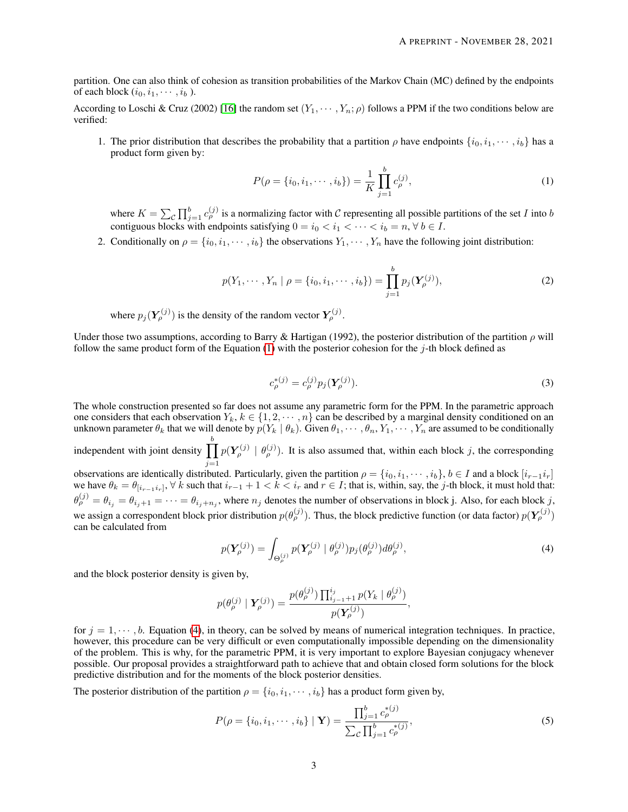partition. One can also think of cohesion as transition probabilities of the Markov Chain (MC) defined by the endpoints of each block  $(i_0, i_1, \dots, i_b)$ .

According to Loschi & Cruz (2002) [\[16\]](#page-19-6) the random set  $(Y_1, \dots, Y_n; \rho)$  follows a PPM if the two conditions below are verified:

1. The prior distribution that describes the probability that a partition  $\rho$  have endpoints  $\{i_0, i_1, \dots, i_b\}$  has a product form given by:

<span id="page-2-0"></span>
$$
P(\rho = \{i_0, i_1, \cdots, i_b\}) = \frac{1}{K} \prod_{j=1}^{b} c_{\rho}^{(j)},
$$
\n(1)

where  $K = \sum_{\mathcal{C}} \prod_{j=1}^b c_{\rho}^{(j)}$  is a normalizing factor with  $\mathcal{C}$  representing all possible partitions of the set I into b contiguous blocks with endpoints satisfying  $0 = i_0 < i_1 < \cdots < i_b = n$ ,  $\forall b \in I$ .

2. Conditionally on  $\rho = \{i_0, i_1, \dots, i_b\}$  the observations  $Y_1, \dots, Y_n$  have the following joint distribution:

$$
p(Y_1, \cdots, Y_n \mid \rho = \{i_0, i_1, \cdots, i_b\}) = \prod_{j=1}^b p_j(\boldsymbol{Y}_{\rho}^{(j)}),
$$
 (2)

where  $p_j(Y_\rho^{(j)})$  is the density of the random vector  $Y_\rho^{(j)}$ .

Under those two assumptions, according to Barry & Hartigan (1992), the posterior distribution of the partition  $\rho$  will follow the same product form of the Equation  $(1)$  with the posterior cohesion for the j-th block defined as

<span id="page-2-1"></span>
$$
c_{\rho}^{*(j)} = c_{\rho}^{(j)} p_j(\mathbf{Y}_{\rho}^{(j)}).
$$
\n(3)

The whole construction presented so far does not assume any parametric form for the PPM. In the parametric approach one considers that each observation  $Y_k, k \in \{1, 2, \dots, n\}$  can be described by a marginal density conditioned on an unknown parameter  $\theta_k$  that we will denote by  $p(Y_k | \theta_k)$ . Given  $\theta_1, \dots, \theta_n, Y_1, \dots, Y_n$  are assumed to be conditionally

independent with joint density  $\prod^b$  $j=1$  $p(Y^{(j)}_{\rho} | \theta^{(j)}_{\rho})$ . It is also assumed that, within each block j, the corresponding observations are identically distributed. Particularly, given the partition  $\rho = \{i_0, i_1, \dots, i_b\}, b \in I$  and a block  $[i_{r-1}i_r]$ we have  $\theta_k = \theta_{[i_{r-1}i_r]}, \forall k$  such that  $i_{r-1}+1 < k < i_r$  and  $r \in I$ ; that is, within, say, the j-th block, it must hold that:  $\theta_{\rho}^{(j)} = \theta_{i_j} = \theta_{i_j+1} = \cdots = \theta_{i_j+n_j}$ , where  $n_j$  denotes the number of observations in block j. Also, for each block j. we assign a correspondent block prior distribution  $p(\theta^{(j)}_\rho)$ . Thus, the block predictive function (or data factor)  $p(Y^{(j)}_\rho)$ can be calculated from

$$
p(\mathbf{Y}_{\rho}^{(j)}) = \int_{\Theta_{\rho}^{(j)}} p(\mathbf{Y}_{\rho}^{(j)} \mid \theta_{\rho}^{(j)}) p_j(\theta_{\rho}^{(j)}) d\theta_{\rho}^{(j)},
$$
\n(4)

and the block posterior density is given by,

$$
p(\theta_{\rho}^{(j)} | \mathbf{Y}_{\rho}^{(j)}) = \frac{p(\theta_{\rho}^{(j)}) \prod_{i_{j-1}+1}^{i_j} p(Y_k | \theta_{\rho}^{(j)})}{p(\mathbf{Y}_{\rho}^{(j)})},
$$

for  $j = 1, \dots, b$ . Equation [\(4\)](#page-2-1), in theory, can be solved by means of numerical integration techniques. In practice, however, this procedure can be very difficult or even computationally impossible depending on the dimensionality of the problem. This is why, for the parametric PPM, it is very important to explore Bayesian conjugacy whenever possible. Our proposal provides a straightforward path to achieve that and obtain closed form solutions for the block predictive distribution and for the moments of the block posterior densities.

The posterior distribution of the partition  $\rho = \{i_0, i_1, \dots, i_b\}$  has a product form given by,

<span id="page-2-2"></span>
$$
P(\rho = \{i_0, i_1, \cdots, i_b\} | \mathbf{Y}) = \frac{\prod_{j=1}^b c_{\rho}^{*(j)}}{\sum_{\mathcal{C}} \prod_{j=1}^b c_{\rho}^{*(j)}},
$$
\n(5)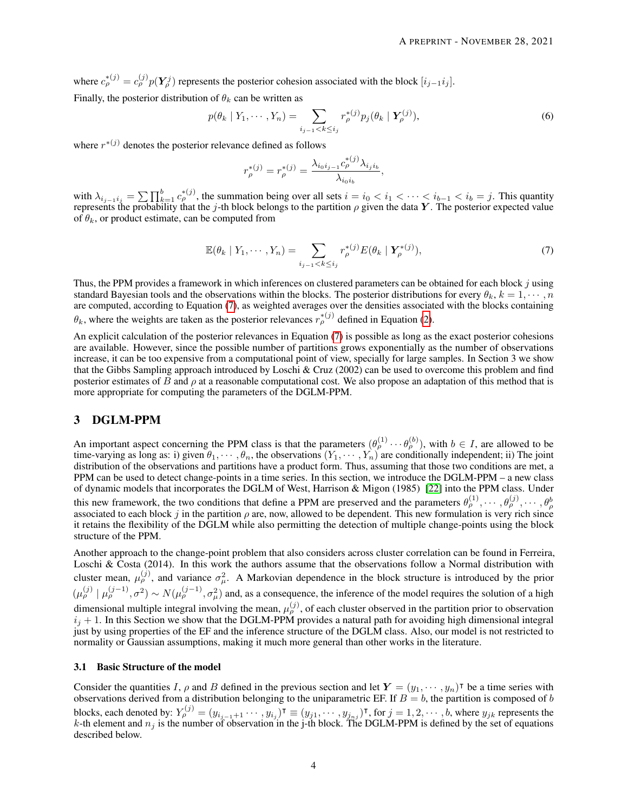where  $c_{\rho}^{*(j)} = c_{\rho}^{(j)} p(Y_{\rho}^j)$  represents the posterior cohesion associated with the block  $[i_{j-1}i_j]$ . Finally, the posterior distribution of  $\theta_k$  can be written as

$$
p(\theta_k | Y_1, \cdots, Y_n) = \sum_{i_{j-1} < k \le i_j} r_\rho^{*(j)} p_j(\theta_k | \mathbf{Y}_\rho^{(j)}), \tag{6}
$$

where  $r^{*(j)}$  denotes the posterior relevance defined as follows

<span id="page-3-1"></span><span id="page-3-0"></span>
$$
r^{*(j)}_{\rho} = r^{*(j)}_{\rho} = \frac{\lambda_{i_0 i_{j-1}} c^{*(j)}_{\rho} \lambda_{i_j i_b}}{\lambda_{i_0 i_b}},
$$

with  $\lambda_{i_{j-1}i_j} = \sum \prod_{k=1}^b c_{\rho}^{*(j)}$ , the summation being over all sets  $i = i_0 < i_1 < \cdots < i_{b-1} < i_b = j$ . This quantity represents the probability that the j-th block belongs to the partition  $\rho$  given the data Y. The posterior expected value of  $\theta_k$ , or product estimate, can be computed from

$$
\mathbb{E}(\theta_k \mid Y_1, \cdots, Y_n) = \sum_{i_{j-1} < k \leq i_j} r_\rho^{*(j)} E(\theta_k \mid \boldsymbol{Y}_\rho^{*(j)}),\tag{7}
$$

Thus, the PPM provides a framework in which inferences on clustered parameters can be obtained for each block j using standard Bayesian tools and the observations within the blocks. The posterior distributions for every  $\theta_k$ ,  $k = 1, \dots, n$ are computed, according to Equation [\(7\)](#page-3-0), as weighted averages over the densities associated with the blocks containing  $\theta_k$ , where the weights are taken as the posterior relevances  $r_\rho^{*(j)}$  defined in Equation [\(2\)](#page-3-1).

An explicit calculation of the posterior relevances in Equation [\(7\)](#page-3-0) is possible as long as the exact posterior cohesions are available. However, since the possible number of partitions grows exponentially as the number of observations increase, it can be too expensive from a computational point of view, specially for large samples. In Section 3 we show that the Gibbs Sampling approach introduced by Loschi & Cruz (2002) can be used to overcome this problem and find posterior estimates of B and  $\rho$  at a reasonable computational cost. We also propose an adaptation of this method that is more appropriate for computing the parameters of the DGLM-PPM.

# 3 DGLM-PPM

An important aspect concerning the PPM class is that the parameters  $(\theta_{\rho}^{(1)} \cdots \theta_{\rho}^{(b)})$ , with  $b \in I$ , are allowed to be time-varying as long as: i) given  $\theta_1, \dots, \theta_n$ , the observations  $(Y_1, \dots, Y_n)$  are conditionally independent; ii) The joint distribution of the observations and partitions have a product form. Thus, assuming that those two conditions are met, a PPM can be used to detect change-points in a time series. In this section, we introduce the DGLM-PPM – a new class of dynamic models that incorporates the DGLM of West, Harrison & Migon (1985) [\[22\]](#page-19-11) into the PPM class. Under this new framework, the two conditions that define a PPM are preserved and the parameters  $\theta_{\rho}^{(1)}, \cdots, \theta_{\rho}^{(j)}, \cdots, \theta_{\rho}^{(j)}$ associated to each block j in the partition  $\rho$  are, now, allowed to be dependent. This new formulation is very rich since it retains the flexibility of the DGLM while also permitting the detection of multiple change-points using the block structure of the PPM.

Another approach to the change-point problem that also considers across cluster correlation can be found in Ferreira, Loschi & Costa (2014). In this work the authors assume that the observations follow a Normal distribution with cluster mean,  $\mu_{\rho}^{(j)}$ , and variance  $\sigma_{\mu}^2$ . A Markovian dependence in the block structure is introduced by the prior  $(\mu^{(j)}_{\rho} \mid \mu^{(j-1)}_{\rho}, \sigma^2) \sim N(\mu^{(j-1)}_{\rho}, \sigma^2_{\mu})$  and, as a consequence, the inference of the model requires the solution of a high dimensional multiple integral involving the mean,  $\mu_p^{(j)}$ , of each cluster observed in the partition prior to observation  $i_j + 1$ . In this Section we show that the DGLM-PPM provides a natural path for avoiding high dimensional integral just by using properties of the EF and the inference structure of the DGLM class. Also, our model is not restricted to normality or Gaussian assumptions, making it much more general than other works in the literature.

#### 3.1 Basic Structure of the model

Consider the quantities I,  $\rho$  and B defined in the previous section and let  $Y = (y_1, \dots, y_n)^\intercal$  be a time series with observations derived from a distribution belonging to the uniparametric EF. If  $B = b$ , the partition is composed of b blocks, each denoted by:  $Y_{\rho}^{(j)}=(y_{i_{j-1}+1}\cdots,y_{i_j})^{\intercal}\equiv(y_{j1},\cdots,y_{j_{nj}})^{\intercal}$ , for  $j=1,2,\cdots,b,$  where  $y_{jk}$  represents the k-th element and  $n_j$  is the number of observation in the j-th block. The DGLM-PPM is defined by the set of equations described below.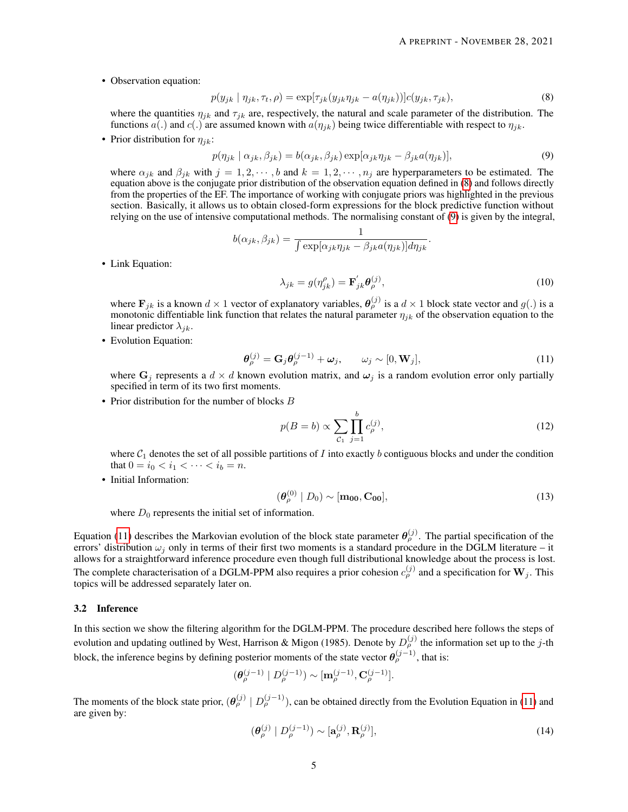• Observation equation:

$$
p(y_{jk} | \eta_{jk}, \tau_t, \rho) = \exp[\tau_{jk}(y_{jk}\eta_{jk} - a(\eta_{jk}))]c(y_{jk}, \tau_{jk}),
$$
\n(8)

where the quantities  $\eta_{ik}$  and  $\tau_{ik}$  are, respectively, the natural and scale parameter of the distribution. The functions a(.) and c(.) are assumed known with  $a(\eta_{ik})$  being twice differentiable with respect to  $\eta_{ik}$ .

• Prior distribution for  $\eta_{jk}$ :

$$
p(\eta_{jk} \mid \alpha_{jk}, \beta_{jk}) = b(\alpha_{jk}, \beta_{jk}) \exp[\alpha_{jk}\eta_{jk} - \beta_{jk}a(\eta_{jk})],
$$
\n(9)

where  $\alpha_{jk}$  and  $\beta_{jk}$  with  $j = 1, 2, \dots, b$  and  $k = 1, 2, \dots, n_j$  are hyperparameters to be estimated. The equation above is the conjugate prior distribution of the observation equation defined in [\(8\)](#page-4-0) and follows directly from the properties of the EF. The importance of working with conjugate priors was highlighted in the previous section. Basically, it allows us to obtain closed-form expressions for the block predictive function without relying on the use of intensive computational methods. The normalising constant of [\(9\)](#page-4-1) is given by the integral,

$$
b(\alpha_{jk}, \beta_{jk}) = \frac{1}{\int \exp[\alpha_{jk}\eta_{jk} - \beta_{jk}a(\eta_{jk})]d\eta_{jk}}.
$$

<span id="page-4-3"></span><span id="page-4-1"></span><span id="page-4-0"></span>
$$
\lambda_{jk} = g(\eta_{jk}^{\rho}) = \mathbf{F}_{jk}^{'} \boldsymbol{\theta}_{\rho}^{(j)},
$$
\n(10)

where  $\mathbf{F}_{jk}$  is a known  $d \times 1$  vector of explanatory variables,  $\theta_{\rho}^{(j)}$  is a  $d \times 1$  block state vector and  $g(.)$  is a monotonic diffentiable link function that relates the natural parameter  $\eta_{jk}$  of the observation equation to the linear predictor  $\lambda_{jk}$ .

• Evolution Equation:

• Link Equation:

$$
\boldsymbol{\theta}_{\rho}^{(j)} = \mathbf{G}_j \boldsymbol{\theta}_{\rho}^{(j-1)} + \boldsymbol{\omega}_j, \qquad \omega_j \sim [0, \mathbf{W}_j], \tag{11}
$$

where  $G_i$  represents a  $d \times d$  known evolution matrix, and  $\omega_i$  is a random evolution error only partially specified in term of its two first moments.

• Prior distribution for the number of blocks  $B$ 

<span id="page-4-2"></span>
$$
p(B = b) \propto \sum_{\mathcal{C}_1} \prod_{j=1}^{b} c_p^{(j)},
$$
\n(12)

where  $C_1$  denotes the set of all possible partitions of I into exactly b contiguous blocks and under the condition that  $0 = i_0 < i_1 < \cdots < i_b = n$ .

• Initial Information:

$$
\left(\boldsymbol{\theta}_{\rho}^{(0)} \mid D_0\right) \sim [\mathbf{m}_{00}, \mathbf{C}_{00}],\tag{13}
$$

where  $D_0$  represents the initial set of information.

Equation [\(11\)](#page-4-2) describes the Markovian evolution of the block state parameter  $\theta_{\rho}^{(j)}$ . The partial specification of the errors' distribution  $\omega_i$  only in terms of their first two moments is a standard procedure in the DGLM literature – it allows for a straightforward inference procedure even though full distributional knowledge about the process is lost. The complete characterisation of a DGLM-PPM also requires a prior cohesion  $c_{\rho}^{(j)}$  and a specification for  $\mathbf{W}_j$ . This topics will be addressed separately later on.

## 3.2 Inference

In this section we show the filtering algorithm for the DGLM-PPM. The procedure described here follows the steps of evolution and updating outlined by West, Harrison & Migon (1985). Denote by  $D_{\rho}^{(j)}$  the information set up to the j-th block, the inference begins by defining posterior moments of the state vector  $\theta_{\rho}^{(j-1)}$ , that is:

$$
(\pmb{\theta}_\rho^{(j-1)} \mid D^{(j-1)}_\rho) \sim [\mathbf{m}_\rho^{(j-1)}, \mathbf{C}^{(j-1)}_\rho].
$$

The moments of the block state prior,  $(\theta_{\rho}^{(j)} | D_{\rho}^{(j-1)})$ , can be obtained directly from the Evolution Equation in [\(11\)](#page-4-2) and are given by:

$$
\left(\boldsymbol{\theta}_{\rho}^{(j)} \mid D_{\rho}^{(j-1)}\right) \sim \left[\mathbf{a}_{\rho}^{(j)}, \mathbf{R}_{\rho}^{(j)}\right],\tag{14}
$$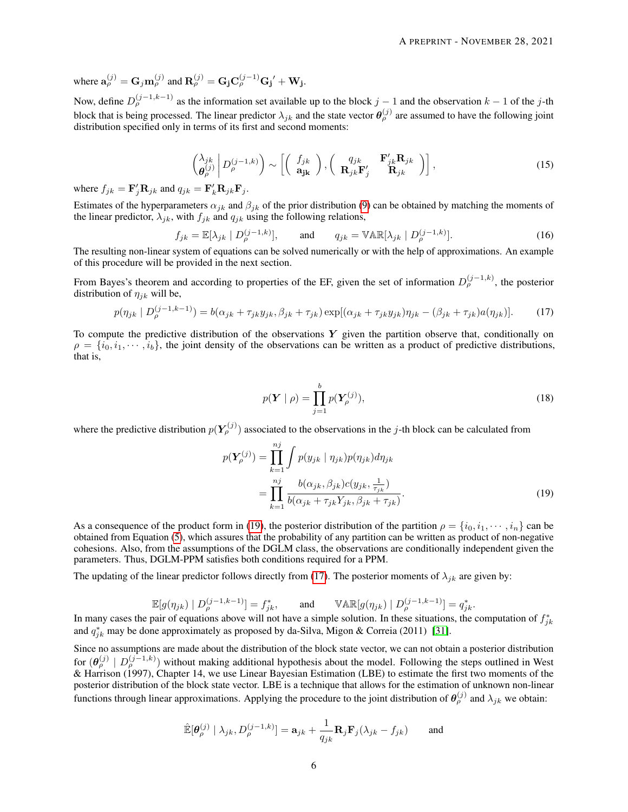where  $\mathbf{a}_{\rho}^{(j)} = \mathbf{G}_j \mathbf{m}_{\rho}^{(j)}$  and  $\mathbf{R}_{\rho}^{(j)} = \mathbf{G}_j \mathbf{C}_{\rho}^{(j-1)} \mathbf{G}_j' + \mathbf{W}_j$ .

Now, define  $D_{\rho}^{(j-1,k-1)}$  as the information set available up to the block  $j-1$  and the observation  $k-1$  of the j-th block that is being processed. The linear predictor  $\lambda_{jk}$  and the state vector  $\theta_{\rho}^{(j)}$  are assumed to have the following joint distribution specified only in terms of its first and second moments:

$$
\begin{pmatrix} \lambda_{jk} \\ \boldsymbol{\theta}_{\rho}^{(j)} \end{pmatrix} D_{\rho}^{(j-1,k)} \bigg) \sim \left[ \begin{pmatrix} f_{jk} \\ \mathbf{a}_{jk} \end{pmatrix}, \begin{pmatrix} q_{jk} & \mathbf{F}_{jk}' \mathbf{R}_{jk} \\ \mathbf{R}_{jk} \mathbf{F}_{j}' & \mathbf{R}_{jk} \end{pmatrix} \right],
$$
\n(15)

where  $f_{jk} = \mathbf{F}'_j \mathbf{R}_{jk}$  and  $q_{jk} = \mathbf{F}'_k \mathbf{R}_{jk} \mathbf{F}_j$ .

Estimates of the hyperparameters  $\alpha_{jk}$  and  $\beta_{jk}$  of the prior distribution [\(9\)](#page-4-1) can be obtained by matching the moments of the linear predictor,  $\lambda_{jk}$ , with  $f_{jk}$  and  $q_{jk}$  using the following relations,

$$
f_{jk} = \mathbb{E}[\lambda_{jk} \mid D_{\rho}^{(j-1,k)}], \quad \text{and} \quad q_{jk} = \mathbb{VAR}[\lambda_{jk} \mid D_{\rho}^{(j-1,k)}]. \tag{16}
$$

The resulting non-linear system of equations can be solved numerically or with the help of approximations. An example of this procedure will be provided in the next section.

From Bayes's theorem and according to properties of the EF, given the set of information  $D_{\rho}^{(j-1,k)}$ , the posterior distribution of  $\eta_{ik}$  will be,

$$
p(\eta_{jk} \mid D_{\rho}^{(j-1,k-1)}) = b(\alpha_{jk} + \tau_{jk}y_{jk}, \beta_{jk} + \tau_{jk}) \exp[(\alpha_{jk} + \tau_{jk}y_{jk})\eta_{jk} - (\beta_{jk} + \tau_{jk})a(\eta_{jk})].
$$
 (17)

To compute the predictive distribution of the observations  $Y$  given the partition observe that, conditionally on  $\rho = \{i_0, i_1, \dots, i_b\}$ , the joint density of the observations can be written as a product of predictive distributions, that is,

<span id="page-5-1"></span><span id="page-5-0"></span>
$$
p(\boldsymbol{Y} \mid \boldsymbol{\rho}) = \prod_{j=1}^{b} p(\boldsymbol{Y}_{\boldsymbol{\rho}}^{(j)}),
$$
\n(18)

where the predictive distribution  $p(Y_{\rho}^{(j)})$  associated to the observations in the j-th block can be calculated from

$$
p(\mathbf{Y}_{\rho}^{(j)}) = \prod_{k=1}^{nj} \int p(y_{jk} | \eta_{jk}) p(\eta_{jk}) d\eta_{jk}
$$
  
= 
$$
\prod_{k=1}^{nj} \frac{b(\alpha_{jk}, \beta_{jk}) c(y_{jk}, \frac{1}{\tau_{jk}})}{b(\alpha_{jk} + \tau_{jk} Y_{jk}, \beta_{jk} + \tau_{jk})}.
$$
 (19)

As a consequence of the product form in [\(19\)](#page-5-0), the posterior distribution of the partition  $\rho = \{i_0, i_1, \dots, i_n\}$  can be obtained from Equation [\(5\)](#page-2-2), which assures that the probability of any partition can be written as product of non-negative cohesions. Also, from the assumptions of the DGLM class, the observations are conditionally independent given the parameters. Thus, DGLM-PPM satisfies both conditions required for a PPM.

The updating of the linear predictor follows directly from [\(17\)](#page-5-1). The posterior moments of  $\lambda_{ik}$  are given by:

$$
\mathbb{E}[g(\eta_{jk}) \mid D_{\rho}^{(j-1,k-1)}] = f_{jk}^*, \quad \text{and} \quad \mathbb{VAR}[g(\eta_{jk}) \mid D_{\rho}^{(j-1,k-1)}] = q_{jk}^*.
$$

In many cases the pair of equations above will not have a simple solution. In these situations, the computation of  $f_{jk}^*$ and  $q_{jk}^*$  may be done approximately as proposed by da-Silva, Migon & Correia (2011) [\[31\]](#page-19-14).

Since no assumptions are made about the distribution of the block state vector, we can not obtain a posterior distribution for  $(\theta_{\rho}^{(j)} \mid D_{\rho}^{(j-1,k)})$  without making additional hypothesis about the model. Following the steps outlined in West & Harrison (1997), Chapter 14, we use Linear Bayesian Estimation (LBE) to estimate the first two moments of the posterior distribution of the block state vector. LBE is a technique that allows for the estimation of unknown non-linear functions through linear approximations. Applying the procedure to the joint distribution of  $\theta_{\rho}^{(j)}$  and  $\lambda_{jk}$  we obtain:

$$
\hat{\mathbb{E}}[\theta_{\rho}^{(j)} | \lambda_{jk}, D_{\rho}^{(j-1,k)}] = \mathbf{a}_{jk} + \frac{1}{q_{jk}} \mathbf{R}_j \mathbf{F}_j (\lambda_{jk} - f_{jk}) \quad \text{and}
$$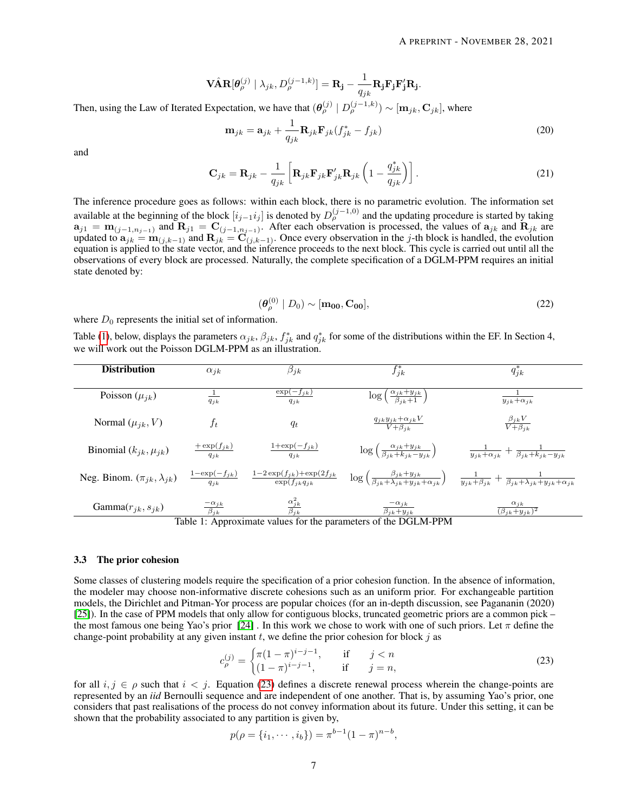$$
\mathbf{V\hat{A}}\mathbf{R}[\theta_{\rho}^{(j)} | \lambda_{jk}, D_{\rho}^{(j-1,k)}] = \mathbf{R}_{\mathbf{j}} - \frac{1}{q_{jk}} \mathbf{R}_{\mathbf{j}} \mathbf{F}_{\mathbf{j}} \mathbf{F}'_{\mathbf{j}} \mathbf{R}_{\mathbf{j}}.
$$

Then, using the Law of Iterated Expectation, we have that  $(\theta_{\rho}^{(j)} | D_{\rho}^{(j-1,k)}) \sim [m_{jk}, C_{jk}]$ , where

$$
\mathbf{m}_{jk} = \mathbf{a}_{jk} + \frac{1}{q_{jk}} \mathbf{R}_{jk} \mathbf{F}_{jk} (f_{jk}^* - f_{jk})
$$
\n(20)

and

$$
\mathbf{C}_{jk} = \mathbf{R}_{jk} - \frac{1}{q_{jk}} \left[ \mathbf{R}_{jk} \mathbf{F}_{jk} \mathbf{F}_{jk}' \mathbf{R}_{jk} \left( 1 - \frac{q_{jk}^*}{q_{jk}} \right) \right]. \tag{21}
$$

The inference procedure goes as follows: within each block, there is no parametric evolution. The information set available at the beginning of the block  $[i_{j-1}i_j]$  is denoted by  $D_\rho^{(j-1,0)}$  and the updating procedure is started by taking  $a_{j1} = m_{(j-1,n_{j-1})}$  and  $R_{j1} = C_{(j-1,n_{j-1})}$ . After each observation is processed, the values of  $a_{jk}$  and  $R_{jk}$  are updated to  $a_{jk} = m_{(j,k-1)}$  and  $\mathbf{R}_{jk} = \mathbf{C}_{(j,k-1)}$ . Once every observation in the j-th block is handled, the evolution equation is applied to the state vector, and the inference proceeds to the next block. This cycle is carried out until all the observations of every block are processed. Naturally, the complete specification of a DGLM-PPM requires an initial state denoted by:

<span id="page-6-2"></span>
$$
\left(\boldsymbol{\theta}_{\rho}^{(0)} \mid D_0\right) \sim \left[\mathbf{m}_{00}, \mathbf{C}_{00}\right],\tag{22}
$$

where  $D_0$  represents the initial set of information.

Table [\(1\)](#page-6-0), below, displays the parameters  $\alpha_{jk}$ ,  $\beta_{jk}$ ,  $f_{jk}^*$  and  $q_{jk}^*$  for some of the distributions within the EF. In Section 4, we will work out the Poisson DGLM-PPM as an illustration.

<span id="page-6-0"></span>

| <b>Distribution</b>                    | $\alpha_{ik}$                           | $\beta_{jk}$                                                              | $f_{jk}^*$                                                                                                          | $q_{jk}^*$                                                                                                                                                                     |  |
|----------------------------------------|-----------------------------------------|---------------------------------------------------------------------------|---------------------------------------------------------------------------------------------------------------------|--------------------------------------------------------------------------------------------------------------------------------------------------------------------------------|--|
| Poisson $(\mu_{ik})$                   | $\perp$<br>$q_{ik}$                     | $\exp(-f_{jk})$<br>$q_{jk}$                                               | $\left(\frac{\alpha_{jk}+y_{jk}}{\beta_{jk}+1}\right)$<br>$\log$                                                    | $y_{jk} + \alpha_{jk}$                                                                                                                                                         |  |
| Normal $(\mu_{jk}, V)$                 | $f_t$                                   | $q_t$                                                                     | $\frac{q_{jk}y_{jk} + \alpha_{jk}V}{V + \beta_{ik}}$                                                                | $\frac{\beta_{jk}V}{V+\beta_{jk}}$                                                                                                                                             |  |
| Binomial $(k_{jk}, \mu_{jk})$          | $+\exp(f_{jk})$<br>$q_{ik}$             | $1+\exp(-f_{jk})$<br>$q_{ik}$                                             | $\log\left(\frac{\alpha_{jk}+y_{jk}}{\beta_{ik}+k_{jk}-y_{jk}}\right)$                                              | $\frac{1}{y_{jk} + \alpha_{jk}} + \frac{1}{\beta_{jk} + k_{jk} - y_{jk}}$                                                                                                      |  |
| Neg. Binom. $(\pi_{jk}, \lambda_{jk})$ | $\frac{1-\exp(-f_{jk})}{2}$<br>$q_{ik}$ | $\frac{1-2\exp(f_{jk})+\exp(2f_{jk})}{\text{Tr}}$<br>$\exp(f_{jk}q_{jk})$ |                                                                                                                     | $\log\left(\frac{\beta_{jk}+y_{jk}}{\beta_{ik}+\lambda_{jk}+y_{jk}+\alpha_{jk}}\right) \quad \frac{1}{y_{jk}+\beta_{jk}}+\frac{1}{\beta_{jk}+\lambda_{jk}+y_{jk}+\alpha_{jk}}$ |  |
| Gamma $(r_{jk}, s_{jk})$               | $\frac{-\alpha_{jk}}{\beta_{jk}}$       | $\frac{\alpha_{jk}^2}{\beta_{jk}}$                                        | $-\alpha_{ik}$<br>$\overline{\beta_{jk}+y_{jk}}$<br>Table 1. Agreement colorer fraction generating of the DCI M DDM | $\alpha_{jk}$<br>$\overline{(\beta_{jk}+y_{jk})^2}$                                                                                                                            |  |

Table 1: Approximate values for the parameters of the DGLM-PPM

#### 3.3 The prior cohesion

Some classes of clustering models require the specification of a prior cohesion function. In the absence of information, the modeler may choose non-informative discrete cohesions such as an uniform prior. For exchangeable partition models, the Dirichlet and Pitman-Yor process are popular choices (for an in-depth discussion, see Pagananin (2020) [\[25\]](#page-19-15)). In the case of PPM models that only allow for contiguous blocks, truncated geometric priors are a common pick – the most famous one being Yao's prior [\[24\]](#page-19-16). In this work we chose to work with one of such priors. Let  $\pi$  define the change-point probability at any given instant  $t$ , we define the prior cohesion for block  $j$  as

<span id="page-6-1"></span>
$$
c_{\rho}^{(j)} = \begin{cases} \pi(1-\pi)^{i-j-1}, & \text{if } j < n \\ (1-\pi)^{i-j-1}, & \text{if } j = n, \end{cases}
$$
 (23)

for all  $i, j \in \rho$  such that  $i < j$ . Equation [\(23\)](#page-6-1) defines a discrete renewal process wherein the change-points are represented by an *iid* Bernoulli sequence and are independent of one another. That is, by assuming Yao's prior, one considers that past realisations of the process do not convey information about its future. Under this setting, it can be shown that the probability associated to any partition is given by,

$$
p(\rho = \{i_1, \cdots, i_b\}) = \pi^{b-1}(1-\pi)^{n-b},
$$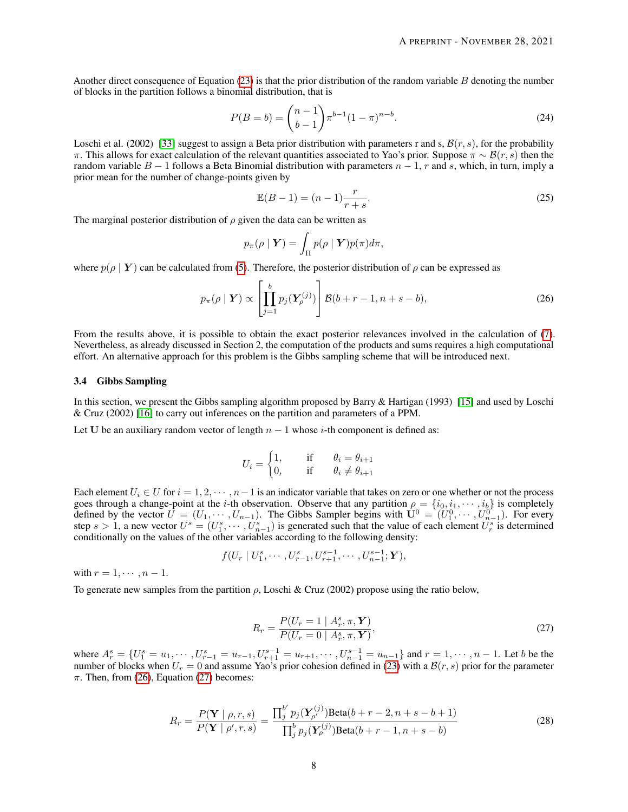Another direct consequence of Equation [\(23\)](#page-6-1) is that the prior distribution of the random variable  $B$  denoting the number of blocks in the partition follows a binomial distribution, that is

$$
P(B = b) = {n-1 \choose b-1} \pi^{b-1} (1-\pi)^{n-b}.
$$
 (24)

Loschi et al. (2002) [\[33\]](#page-19-17) suggest to assign a Beta prior distribution with parameters r and s,  $\mathcal{B}(r, s)$ , for the probability π. This allows for exact calculation of the relevant quantities associated to Yao's prior. Suppose  $\pi \sim \mathcal{B}(r, s)$  then the random variable  $B - 1$  follows a Beta Binomial distribution with parameters  $n - 1$ , r and s, which, in turn, imply a prior mean for the number of change-points given by

<span id="page-7-3"></span><span id="page-7-0"></span>
$$
\mathbb{E}(B - 1) = (n - 1)\frac{r}{r + s}.
$$
\n(25)

The marginal posterior distribution of  $\rho$  given the data can be written as

$$
p_{\pi}(\rho \mid \boldsymbol{Y}) = \int_{\Pi} p(\rho \mid \boldsymbol{Y}) p(\pi) d\pi,
$$

where  $p(\rho | Y)$  can be calculated from [\(5\)](#page-2-2). Therefore, the posterior distribution of  $\rho$  can be expressed as

$$
p_{\pi}(\rho \mid \boldsymbol{Y}) \propto \left[\prod_{j=1}^{b} p_j(\boldsymbol{Y}_{\rho}^{(j)})\right] \mathcal{B}(b+r-1, n+s-b), \tag{26}
$$

From the results above, it is possible to obtain the exact posterior relevances involved in the calculation of [\(7\)](#page-3-0). Nevertheless, as already discussed in Section 2, the computation of the products and sums requires a high computational effort. An alternative approach for this problem is the Gibbs sampling scheme that will be introduced next.

#### 3.4 Gibbs Sampling

In this section, we present the Gibbs sampling algorithm proposed by Barry & Hartigan (1993) [\[15\]](#page-19-12) and used by Loschi & Cruz (2002) [\[16\]](#page-19-6) to carry out inferences on the partition and parameters of a PPM.

Let U be an auxiliary random vector of length  $n - 1$  whose i-th component is defined as:

$$
U_i = \begin{cases} 1, & \text{if } \theta_i = \theta_{i+1} \\ 0, & \text{if } \theta_i \neq \theta_{i+1} \end{cases}
$$

Each element  $U_i \in U$  for  $i = 1, 2, \dots, n-1$  is an indicator variable that takes on zero or one whether or not the process goes through a change-point at the *i*-th observation. Observe that any partition  $\rho = \{i_0, i_1, \dots, i_b\}$  is completely defined by the vector  $\bar{U} = (U_1, \dots, U_{n-1})$ . The Gibbs Sampler begins with  $\bar{U}^0 = (U_1^0, \dots, U_{n-1}^0)$ . For every step  $s > 1$ , a new vector  $U^s = (U_1^s, \dots, U_{n-1}^s)$  is generated such that the value of each element  $U_r^s$  is determined conditionally on the values of the other variables according to the following density:

$$
f(U_r | U_1^s, \cdots, U_{r-1}^s, U_{r+1}^{s-1}, \cdots, U_{n-1}^{s-1}; \mathbf{Y}),
$$

with  $r = 1, \cdots, n-1$ .

To generate new samples from the partition  $\rho$ , Loschi & Cruz (2002) propose using the ratio below,

<span id="page-7-2"></span><span id="page-7-1"></span>
$$
R_r = \frac{P(U_r = 1 \mid A_r^s, \pi, Y)}{P(U_r = 0 \mid A_r^s, \pi, Y)},
$$
\n(27)

where  $A_r^s = \{U_1^s = u_1, \dots, U_{r-1}^s = u_{r-1}, U_{r+1}^{s-1} = u_{r+1}, \dots, U_{n-1}^{s-1} = u_{n-1}\}$  and  $r = 1, \dots, n-1$ . Let b be the number of blocks when  $U_r = 0$  and assume Yao's prior cohesion defined in [\(23\)](#page-6-1) with a  $\mathcal{B}(r, s)$  prior for the parameter  $\pi$ . Then, from [\(26\)](#page-7-0), Equation [\(27\)](#page-7-1) becomes:

$$
R_r = \frac{P(\mathbf{Y} \mid \rho, r, s)}{P(\mathbf{Y} \mid \rho', r, s)} = \frac{\prod_j^{b'} p_j(\mathbf{Y}_{\rho'}^{(j)}) \text{Beta}(b + r - 2, n + s - b + 1)}{\prod_j^{b} p_j(\mathbf{Y}_{\rho}^{(j)}) \text{Beta}(b + r - 1, n + s - b)}
$$
(28)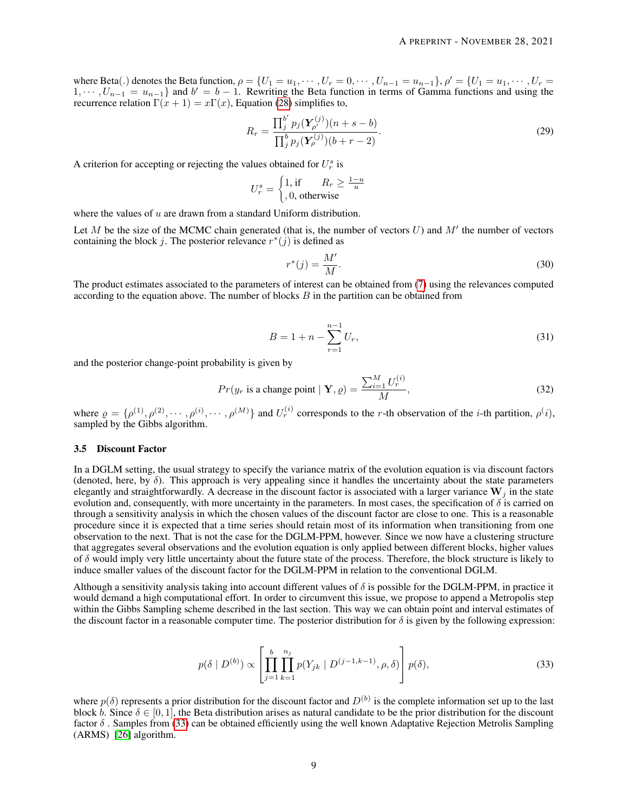where Beta(.) denotes the Beta function,  $\rho = \{U_1 = u_1, \dots, U_r = 0, \dots, U_{n-1} = u_{n-1}\}, \rho' = \{U_1 = u_1, \dots, U_r = 0, \dots, U_{r-1} = u_{n-1}\}$  $1, \dots, U_{n-1} = u_{n-1}$  and  $b' = b - 1$ . Rewriting the Beta function in terms of Gamma functions and using the recurrence relation  $\Gamma(x+1) = x\Gamma(x)$ , Equation [\(28\)](#page-7-2) simplifies to,

$$
R_r = \frac{\prod_j^{b'} p_j(\mathbf{Y}_{\rho'}^{(j)})(n+s-b)}{\prod_j^{b} p_j(\mathbf{Y}_{\rho}^{(j)})(b+r-2)}.
$$
\n(29)

A criterion for accepting or rejecting the values obtained for  $U_r^s$  is

$$
U_r^s = \begin{cases} 1, & \text{if } R_r \ge \frac{1-u}{u} \\ 0, & \text{otherwise} \end{cases}
$$

where the values of  $u$  are drawn from a standard Uniform distribution.

Let M be the size of the MCMC chain generated (that is, the number of vectors  $U$ ) and  $M'$  the number of vectors containing the block j. The posterior relevance  $r^*(j)$  is defined as

<span id="page-8-2"></span>
$$
r^*(j) = \frac{M'}{M}.\tag{30}
$$

The product estimates associated to the parameters of interest can be obtained from [\(7\)](#page-3-0) using the relevances computed according to the equation above. The number of blocks  $B$  in the partition can be obtained from

<span id="page-8-1"></span>
$$
B = 1 + n - \sum_{r=1}^{n-1} U_r,
$$
\n(31)

and the posterior change-point probability is given by

$$
Pr(y_r \text{ is a change point} \mid \mathbf{Y}, \varrho) = \frac{\sum_{i=1}^{M} U_r^{(i)}}{M},\tag{32}
$$

where  $\rho = \{\rho^{(1)}, \rho^{(2)}, \cdots, \rho^{(i)}, \cdots, \rho^{(M)}\}$  and  $U_r^{(i)}$  corresponds to the r-th observation of the *i*-th partition,  $\rho^{(i)}$ , sampled by the Gibbs algorithm.

#### 3.5 Discount Factor

In a DGLM setting, the usual strategy to specify the variance matrix of the evolution equation is via discount factors (denoted, here, by  $\delta$ ). This approach is very appealing since it handles the uncertainty about the state parameters elegantly and straightforwardly. A decrease in the discount factor is associated with a larger variance  $W_i$  in the state evolution and, consequently, with more uncertainty in the parameters. In most cases, the specification of  $\delta$  is carried on through a sensitivity analysis in which the chosen values of the discount factor are close to one. This is a reasonable procedure since it is expected that a time series should retain most of its information when transitioning from one observation to the next. That is not the case for the DGLM-PPM, however. Since we now have a clustering structure that aggregates several observations and the evolution equation is only applied between different blocks, higher values of  $\delta$  would imply very little uncertainty about the future state of the process. Therefore, the block structure is likely to induce smaller values of the discount factor for the DGLM-PPM in relation to the conventional DGLM.

Although a sensitivity analysis taking into account different values of  $\delta$  is possible for the DGLM-PPM, in practice it would demand a high computational effort. In order to circumvent this issue, we propose to append a Metropolis step within the Gibbs Sampling scheme described in the last section. This way we can obtain point and interval estimates of the discount factor in a reasonable computer time. The posterior distribution for  $\delta$  is given by the following expression:

<span id="page-8-0"></span>
$$
p(\delta \mid D^{(b)}) \propto \left[ \prod_{j=1}^{b} \prod_{k=1}^{n_j} p(Y_{jk} \mid D^{(j-1,k-1)}, \rho, \delta) \right] p(\delta), \tag{33}
$$

where  $p(\delta)$  represents a prior distribution for the discount factor and  $D^{(b)}$  is the complete information set up to the last block b. Since  $\delta \in [0, 1]$ , the Beta distribution arises as natural candidate to be the prior distribution for the discount factor  $\delta$ . Samples from [\(33\)](#page-8-0) can be obtained efficiently using the well known Adaptative Rejection Metrolis Sampling (ARMS) [\[26\]](#page-19-18) algorithm.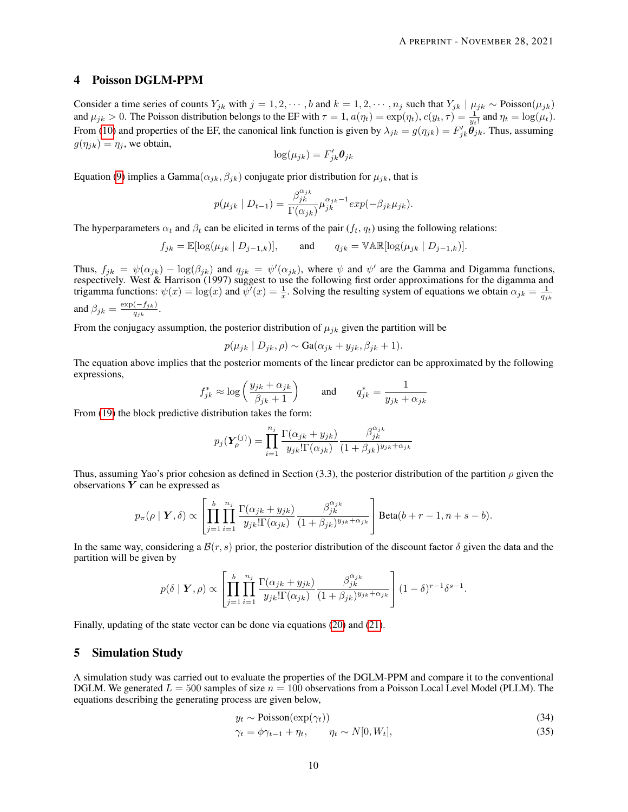## 4 Poisson DGLM-PPM

Consider a time series of counts Y<sub>jk</sub> with  $j = 1, 2, \dots, b$  and  $k = 1, 2, \dots, n_j$  such that  $Y_{jk} \mid \mu_{jk} \sim \text{Poisson}(\mu_{jk})$ and  $\mu_{jk} > 0$ . The Poisson distribution belongs to the EF with  $\tau = 1$ ,  $a(\eta_t) = \exp(\eta_t)$ ,  $c(y_t, \tau) = \frac{1}{y_t!}$  and  $\eta_t = \log(\mu_t)$ . From [\(10\)](#page-4-3) and properties of the EF, the canonical link function is given by  $\lambda_{jk} = g(\eta_{jk}) = F'_{jk}\ddot{\theta}_{jk}$ . Thus, assuming  $g(\eta_{jk}) = \eta_j$ , we obtain,

$$
\log(\mu_{jk}) = F'_{jk}\boldsymbol{\theta}_{jk}
$$

Equation [\(9\)](#page-4-1) implies a Gamma $(\alpha_{jk}, \beta_{jk})$  conjugate prior distribution for  $\mu_{jk}$ , that is

$$
p(\mu_{jk} \mid D_{t-1}) = \frac{\beta_{jk}^{\alpha_{jk}}}{\Gamma(\alpha_{jk})} \mu_{jk}^{\alpha_{jk}-1} exp(-\beta_{jk} \mu_{jk}).
$$

The hyperparameters  $\alpha_t$  and  $\beta_t$  can be elicited in terms of the pair  $(f_t, q_t)$  using the following relations:

$$
f_{jk} = \mathbb{E}[\log(\mu_{jk} \mid D_{j-1,k})], \quad \text{and} \quad q_{jk} = \mathbb{VAR}[\log(\mu_{jk} \mid D_{j-1,k})].
$$

Thus,  $f_{jk} = \psi(\alpha_{jk}) - \log(\beta_{jk})$  and  $q_{jk} = \psi'(\alpha_{jk})$ , where  $\psi$  and  $\psi'$  are the Gamma and Digamma functions, respectively. West & Harrison (1997) suggest to use the following first order approximations for the digamma and trigamma functions:  $\psi(x) = \log(x)$  and  $\psi'(x) = \frac{1}{x}$ . Solving the resulting system of equations we obtain  $\alpha_{jk} = \frac{1}{q_{jk}}$ and  $\beta_{jk} = \frac{\exp(-f_{jk})}{g_{jk}}$  $\frac{(-f_{jk})}{q_{jk}}$ .

From the conjugacy assumption, the posterior distribution of  $\mu_{jk}$  given the partition will be

$$
p(\mu_{jk} | D_{jk}, \rho) \sim \text{Ga}(\alpha_{jk} + y_{jk}, \beta_{jk} + 1).
$$

The equation above implies that the posterior moments of the linear predictor can be approximated by the following expressions,

$$
f_{jk}^* \approx \log\left(\frac{y_{jk} + \alpha_{jk}}{\beta_{jk} + 1}\right)
$$
 and  $q_{jk}^* = \frac{1}{y_{jk} + \alpha_{jk}}$ 

From [\(19\)](#page-5-0) the block predictive distribution takes the form:

$$
p_j(\boldsymbol{Y}_{\boldsymbol{\rho}}^{(j)}) = \prod_{i=1}^{n_j} \frac{\Gamma(\alpha_{jk} + y_{jk})}{y_{jk}!\Gamma(\alpha_{jk})} \frac{\beta_{jk}^{\alpha_{jk}}}{(1+\beta_{jk})^{y_{jk}+\alpha_{jk}}}
$$

Thus, assuming Yao's prior cohesion as defined in Section (3.3), the posterior distribution of the partition  $\rho$  given the observations  $\overline{Y}$  can be expressed as

$$
p_{\pi}(\rho \mid \boldsymbol{Y}, \delta) \propto \left[ \prod_{j=1}^{b} \prod_{i=1}^{n_j} \frac{\Gamma(\alpha_{jk} + y_{jk})}{y_{jk}! \Gamma(\alpha_{jk})} \frac{\beta_{jk}^{\alpha_{jk}}}{(1 + \beta_{jk})^{y_{jk} + \alpha_{jk}}} \right] \text{Beta}(b + r - 1, n + s - b).
$$

In the same way, considering a  $\mathcal{B}(r, s)$  prior, the posterior distribution of the discount factor  $\delta$  given the data and the partition will be given by

$$
p(\delta \mid \boldsymbol{Y}, \rho) \propto \left[ \prod_{j=1}^{b} \prod_{i=1}^{n_j} \frac{\Gamma(\alpha_{jk} + y_{jk})}{y_{jk}!\Gamma(\alpha_{jk})} \frac{\beta_{jk}^{\alpha_{jk}}}{(1 + \beta_{jk})^{y_{jk} + \alpha_{jk}}} \right] (1 - \delta)^{r-1} \delta^{s-1}.
$$

Finally, updating of the state vector can be done via equations [\(20\)](#page-5-0) and [\(21\)](#page-6-2).

# 5 Simulation Study

A simulation study was carried out to evaluate the properties of the DGLM-PPM and compare it to the conventional DGLM. We generated  $L = 500$  samples of size  $n = 100$  observations from a Poisson Local Level Model (PLLM). The equations describing the generating process are given below,

<span id="page-9-0"></span>
$$
y_t \sim \text{Poisson}(\exp(\gamma_t))\tag{34}
$$

$$
\gamma_t = \phi \gamma_{t-1} + \eta_t, \qquad \eta_t \sim N[0, W_t], \tag{35}
$$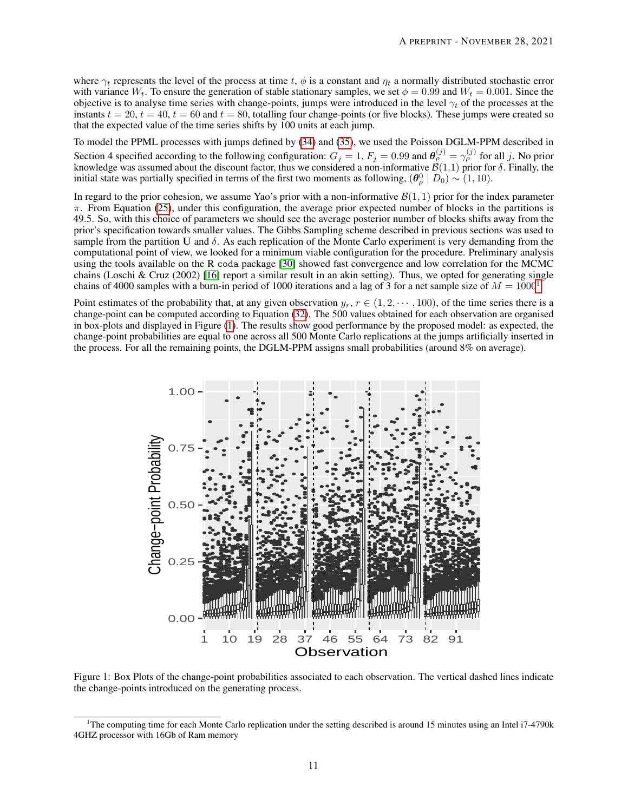where  $\gamma_t$  represents the level of the process at time t,  $\phi$  is a constant and  $\eta_t$  a normally distributed stochastic error with variance  $W_t$ . To ensure the generation of stable stationary samples, we set  $\phi = 0.99$  and  $W_t = 0.001$ . Since the objective is to analyse time series with change-points, jumps were introduced in the level  $\gamma_t$  of the processes at the instants  $t = 20$ ,  $t = 40$ ,  $t = 60$  and  $t = 80$ , totalling four change-points (or five blocks). These jumps were created so that the expected value of the time series shifts by 100 units at each jump.

To model the PPML processes with jumps defined by [\(34\)](#page-9-0) and [\(35\)](#page-9-0), we used the Poisson DGLM-PPM described in Section 4 specified according to the following configuration:  $G_j = 1$ ,  $F_j = 0.99$  and  $\theta_{\rho}^{(j)} = \gamma_{\rho}^{(j)}$  for all j. No prior knowledge was assumed about the discount factor, thus we considered a non-informative  $\mathcal{B}(1.1)$  prior for  $\delta$ . Finally, the initial state was partially specified in terms of the first two moments as following,  $(\theta_\rho^0 | D_0) \sim (1, 10)$ .

In regard to the prior cohesion, we assume Yao's prior with a non-informative  $\mathcal{B}(1, 1)$  prior for the index parameter  $\pi$ . From Equation [\(25\)](#page-7-3), under this configuration, the average prior expected number of blocks in the partitions is 49.5. So, with this choice of parameters we should see the average posterior number of blocks shifts away from the prior's specification towards smaller values. The Gibbs Sampling scheme described in previous sections was used to sample from the partition U and  $\delta$ . As each replication of the Monte Carlo experiment is very demanding from the computational point of view, we looked for a minimum viable configuration for the procedure. Preliminary analysis using the tools available on the R coda package [\[30\]](#page-19-19) showed fast convergence and low correlation for the MCMC chains (Loschi & Cruz (2002) [\[16\]](#page-19-6) report a similar result in an akin setting). Thus, we opted for generating single chains of 4000 samples with a burn-in period of [1](#page-10-0)000 iterations and a lag of 3 for a net sample size of  $M = 1000^1$ .

Point estimates of the probability that, at any given observation  $y_r$ ,  $r \in (1, 2, \dots, 100)$ , of the time series there is a change-point can be computed according to Equation [\(32\)](#page-8-1). The 500 values obtained for each observation are organised in box-plots and displayed in Figure [\(1\)](#page-10-1). The results show good performance by the proposed model: as expected, the change-point probabilities are equal to one across all 500 Monte Carlo replications at the jumps artificially inserted in the process. For all the remaining points, the DGLM-PPM assigns small probabilities (around 8% on average).

<span id="page-10-1"></span>

Figure 1: Box Plots of the change-point probabilities associated to each observation. The vertical dashed lines indicate the change-points introduced on the generating process.

<span id="page-10-0"></span><sup>1</sup>The computing time for each Monte Carlo replication under the setting described is around 15 minutes using an Intel i7-4790k 4GHZ processor with 16Gb of Ram memory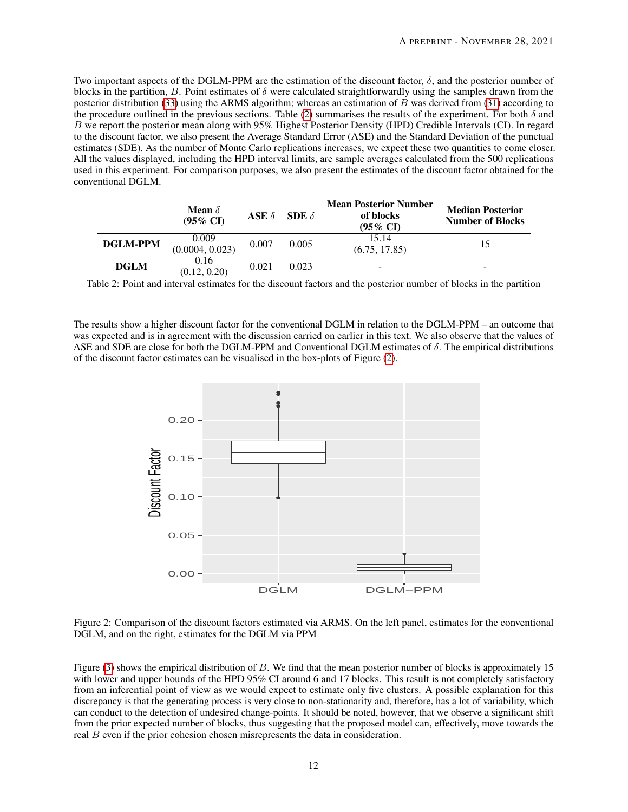Two important aspects of the DGLM-PPM are the estimation of the discount factor,  $\delta$ , and the posterior number of blocks in the partition, B. Point estimates of  $\delta$  were calculated straightforwardly using the samples drawn from the posterior distribution [\(33\)](#page-8-0) using the ARMS algorithm; whereas an estimation of B was derived from [\(31\)](#page-8-2) according to the procedure outlined in the previous sections. Table [\(2\)](#page-11-0) summarises the results of the experiment. For both  $\delta$  and B we report the posterior mean along with 95% Highest Posterior Density (HPD) Credible Intervals (CI). In regard to the discount factor, we also present the Average Standard Error (ASE) and the Standard Deviation of the punctual estimates (SDE). As the number of Monte Carlo replications increases, we expect these two quantities to come closer. All the values displayed, including the HPD interval limits, are sample averages calculated from the 500 replications used in this experiment. For comparison purposes, we also present the estimates of the discount factor obtained for the conventional DGLM.

<span id="page-11-0"></span>

|                 | <b>Mean</b> $\delta$<br>$(95\% \text{ CI})$ | ASE $\delta$ | SDE $\delta$ | <b>Mean Posterior Number</b><br>of blocks<br>$(95\% \text{ CI})$ | <b>Median Posterior</b><br><b>Number of Blocks</b> |
|-----------------|---------------------------------------------|--------------|--------------|------------------------------------------------------------------|----------------------------------------------------|
| <b>DGLM-PPM</b> | 0.009<br>(0.0004, 0.023)                    | 0.007        | 0.005        | 15.14<br>(6.75, 17.85)                                           | 15                                                 |
| <b>DGLM</b>     | 0.16<br>(0.12, 0.20)                        | 0.021        | 0.023        | -                                                                | $\overline{\phantom{a}}$                           |

Table 2: Point and interval estimates for the discount factors and the posterior number of blocks in the partition

<span id="page-11-1"></span>The results show a higher discount factor for the conventional DGLM in relation to the DGLM-PPM – an outcome that was expected and is in agreement with the discussion carried on earlier in this text. We also observe that the values of ASE and SDE are close for both the DGLM-PPM and Conventional DGLM estimates of δ. The empirical distributions of the discount factor estimates can be visualised in the box-plots of Figure [\(2\)](#page-11-1).



Figure 2: Comparison of the discount factors estimated via ARMS. On the left panel, estimates for the conventional DGLM, and on the right, estimates for the DGLM via PPM

Figure [\(3\)](#page-12-0) shows the empirical distribution of B. We find that the mean posterior number of blocks is approximately 15 with lower and upper bounds of the HPD 95% CI around 6 and 17 blocks. This result is not completely satisfactory from an inferential point of view as we would expect to estimate only five clusters. A possible explanation for this discrepancy is that the generating process is very close to non-stationarity and, therefore, has a lot of variability, which can conduct to the detection of undesired change-points. It should be noted, however, that we observe a significant shift from the prior expected number of blocks, thus suggesting that the proposed model can, effectively, move towards the real B even if the prior cohesion chosen misrepresents the data in consideration.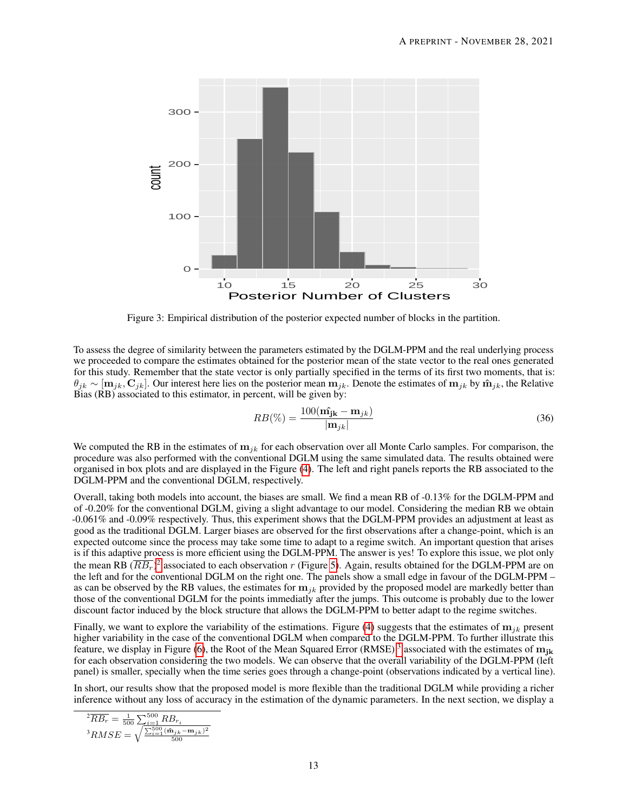<span id="page-12-0"></span>

Figure 3: Empirical distribution of the posterior expected number of blocks in the partition.

To assess the degree of similarity between the parameters estimated by the DGLM-PPM and the real underlying process we proceeded to compare the estimates obtained for the posterior mean of the state vector to the real ones generated for this study. Remember that the state vector is only partially specified in the terms of its first two moments, that is:  $\theta_{jk} \sim [\mathbf{m}_{jk}, \mathbf{C}_{jk}]$ . Our interest here lies on the posterior mean  $\mathbf{m}_{jk}$ . Denote the estimates of  $\mathbf{m}_{jk}$  by  $\mathbf{\hat{m}}_{jk}$ , the Relative Bias (RB) associated to this estimator, in percent, will be given by:

$$
RB(\%) = \frac{100(\hat{\mathbf{m}_{jk}} - \mathbf{m}_{jk})}{|\mathbf{m}_{jk}|}
$$
(36)

We computed the RB in the estimates of  $m_{ik}$  for each observation over all Monte Carlo samples. For comparison, the procedure was also performed with the conventional DGLM using the same simulated data. The results obtained were organised in box plots and are displayed in the Figure [\(4\)](#page-13-0). The left and right panels reports the RB associated to the DGLM-PPM and the conventional DGLM, respectively.

Overall, taking both models into account, the biases are small. We find a mean RB of -0.13% for the DGLM-PPM and of -0.20% for the conventional DGLM, giving a slight advantage to our model. Considering the median RB we obtain -0.061% and -0.09% respectively. Thus, this experiment shows that the DGLM-PPM provides an adjustment at least as good as the traditional DGLM. Larger biases are observed for the first observations after a change-point, which is an expected outcome since the process may take some time to adapt to a regime switch. An important question that arises is if this adaptive process is more efficient using the DGLM-PPM. The answer is yes! To explore this issue, we plot only the mean RB  $(\overline{RB_r})^2$  $(\overline{RB_r})^2$  associated to each observation r (Figure [5\)](#page-13-1). Again, results obtained for the DGLM-PPM are on the left and for the conventional DGLM on the right one. The panels show a small edge in favour of the DGLM-PPM – as can be observed by the RB values, the estimates for  $m_{jk}$  provided by the proposed model are markedly better than those of the conventional DGLM for the points immediatly after the jumps. This outcome is probably due to the lower discount factor induced by the block structure that allows the DGLM-PPM to better adapt to the regime switches.

Finally, we want to explore the variability of the estimations. Figure [\(4\)](#page-13-0) suggests that the estimates of  $m_{jk}$  present higher variability in the case of the conventional DGLM when compared to the DGLM-PPM. To further illustrate this feature, we display in Figure [\(6\)](#page-14-0), the Root of the Mean Squared Error (RMSE)<sup>[3](#page-12-2)</sup> associated with the estimates of  $m_{jk}$ for each observation considering the two models. We can observe that the overall variability of the DGLM-PPM (left panel) is smaller, specially when the time series goes through a change-point (observations indicated by a vertical line).

In short, our results show that the proposed model is more flexible than the traditional DGLM while providing a richer inference without any loss of accuracy in the estimation of the dynamic parameters. In the next section, we display a

<span id="page-12-2"></span><span id="page-12-1"></span>
$$
\frac{{}^2\overline{R}\overline{B_r}}{{}^3R\overline{M}SE} = \frac{1}{500} \frac{\sum_{i=1}^{500} R\overline{B_r}_i}{\sum_{i=1}^{500} \frac{(\hat{\mathbf{m}}_{jk} - \mathbf{m}_{jk})^2}{500}}
$$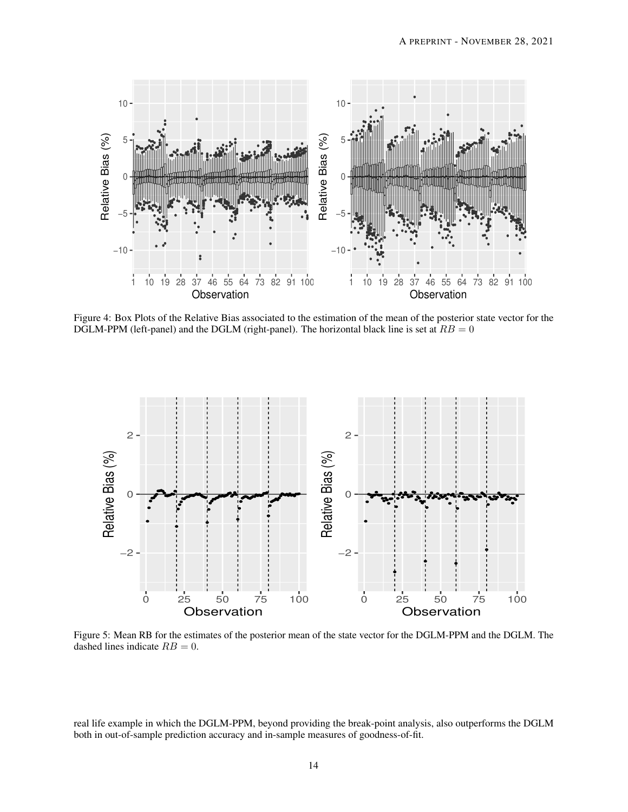<span id="page-13-0"></span>

Figure 4: Box Plots of the Relative Bias associated to the estimation of the mean of the posterior state vector for the DGLM-PPM (left-panel) and the DGLM (right-panel). The horizontal black line is set at  $RB = 0$ 

<span id="page-13-1"></span>

Figure 5: Mean RB for the estimates of the posterior mean of the state vector for the DGLM-PPM and the DGLM. The dashed lines indicate  $RB = 0$ .

real life example in which the DGLM-PPM, beyond providing the break-point analysis, also outperforms the DGLM both in out-of-sample prediction accuracy and in-sample measures of goodness-of-fit.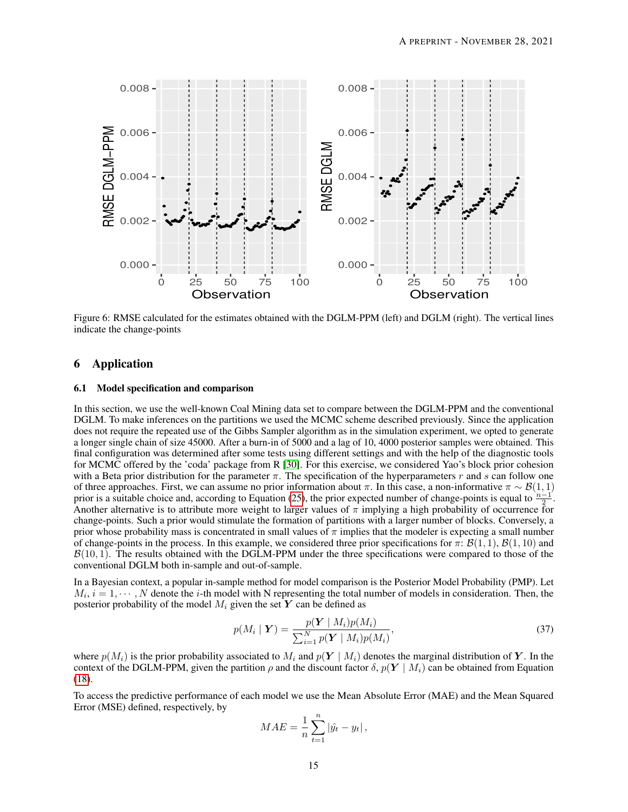<span id="page-14-0"></span>

Figure 6: RMSE calculated for the estimates obtained with the DGLM-PPM (left) and DGLM (right). The vertical lines indicate the change-points

# 6 Application

## 6.1 Model specification and comparison

In this section, we use the well-known Coal Mining data set to compare between the DGLM-PPM and the conventional DGLM. To make inferences on the partitions we used the MCMC scheme described previously. Since the application does not require the repeated use of the Gibbs Sampler algorithm as in the simulation experiment, we opted to generate a longer single chain of size 45000. After a burn-in of 5000 and a lag of 10, 4000 posterior samples were obtained. This final configuration was determined after some tests using different settings and with the help of the diagnostic tools for MCMC offered by the 'coda' package from R [\[30\]](#page-19-19). For this exercise, we considered Yao's block prior cohesion with a Beta prior distribution for the parameter  $\pi$ . The specification of the hyperparameters r and s can follow one of three approaches. First, we can assume no prior information about  $\pi$ . In this case, a non-informative  $\pi \sim \mathcal{B}(1, 1)$ prior is a suitable choice and, according to Equation [\(25\)](#page-7-3), the prior expected number of change-points is equal to  $\frac{n-\epsilon}{2}$ Another alternative is to attribute more weight to larger values of  $\pi$  implying a high probability of occurrence for . change-points. Such a prior would stimulate the formation of partitions with a larger number of blocks. Conversely, a prior whose probability mass is concentrated in small values of  $\pi$  implies that the modeler is expecting a small number of change-points in the process. In this example, we considered three prior specifications for  $\pi: \mathcal{B}(1,1), \mathcal{B}(1,10)$  and  $\mathcal{B}(10, 1)$ . The results obtained with the DGLM-PPM under the three specifications were compared to those of the conventional DGLM both in-sample and out-of-sample.

In a Bayesian context, a popular in-sample method for model comparison is the Posterior Model Probability (PMP). Let  $M_i$ ,  $i = 1, \dots, N$  denote the *i*-th model with N representing the total number of models in consideration. Then, the posterior probability of the model  $M_i$  given the set Y can be defined as

$$
p(M_i \mid \boldsymbol{Y}) = \frac{p(\boldsymbol{Y} \mid M_i)p(M_i)}{\sum_{i=1}^{N} p(\boldsymbol{Y} \mid M_i)p(M_i)},
$$
\n(37)

where  $p(M_i)$  is the prior probability associated to  $M_i$  and  $p(Y \mid M_i)$  denotes the marginal distribution of Y. In the context of the DGLM-PPM, given the partition  $\rho$  and the discount factor  $\delta$ ,  $p(Y \mid M_i)$  can be obtained from Equation [\(18\)](#page-5-0).

To access the predictive performance of each model we use the Mean Absolute Error (MAE) and the Mean Squared Error (MSE) defined, respectively, by

<span id="page-14-1"></span>
$$
MAE = \frac{1}{n} \sum_{t=1}^{n} |\hat{y}_t - y_t|,
$$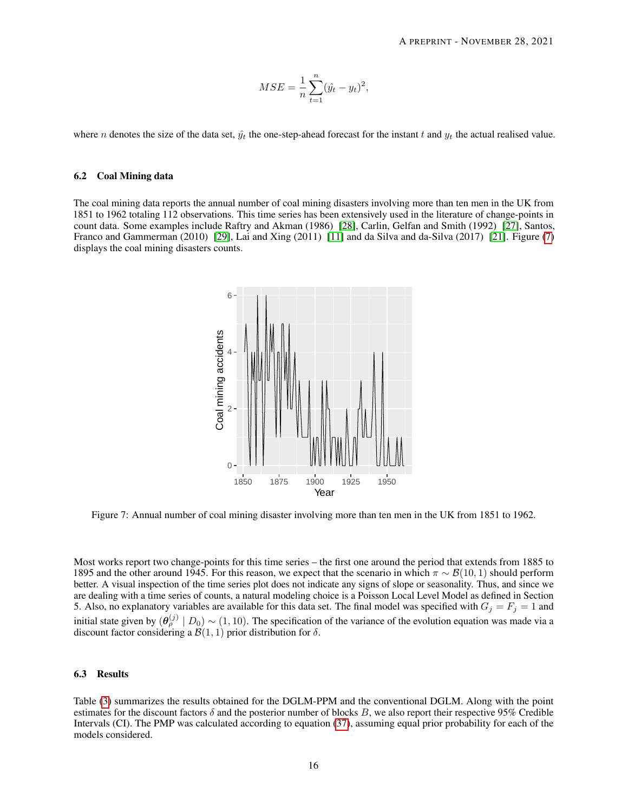$$
MSE = \frac{1}{n} \sum_{t=1}^{n} (\hat{y}_t - y_t)^2,
$$

where n denotes the size of the data set,  $\hat{y}_t$  the one-step-ahead forecast for the instant t and  $y_t$  the actual realised value.

#### 6.2 Coal Mining data

<span id="page-15-0"></span>The coal mining data reports the annual number of coal mining disasters involving more than ten men in the UK from 1851 to 1962 totaling 112 observations. This time series has been extensively used in the literature of change-points in count data. Some examples include Raftry and Akman (1986) [\[28\]](#page-19-20), Carlin, Gelfan and Smith (1992) [\[27\]](#page-19-21), Santos, Franco and Gammerman (2010) [\[29\]](#page-19-22), Lai and Xing (2011) [\[11\]](#page-19-1) and da Silva and da-Silva (2017) [\[21\]](#page-19-4). Figure [\(7\)](#page-15-0) displays the coal mining disasters counts.



Figure 7: Annual number of coal mining disaster involving more than ten men in the UK from 1851 to 1962.

Most works report two change-points for this time series – the first one around the period that extends from 1885 to 1895 and the other around 1945. For this reason, we expect that the scenario in which  $\pi \sim \mathcal{B}(10, 1)$  should perform better. A visual inspection of the time series plot does not indicate any signs of slope or seasonality. Thus, and since we are dealing with a time series of counts, a natural modeling choice is a Poisson Local Level Model as defined in Section 5. Also, no explanatory variables are available for this data set. The final model was specified with  $G_j = F_j = 1$  and initial state given by  $(\theta_\rho^{(j)} \mid D_0) \sim (1, 10)$ . The specification of the variance of the evolution equation was made via a discount factor considering a  $\mathcal{B}(1,1)$  prior distribution for  $\delta$ .

## 6.3 Results

Table [\(3\)](#page-16-0) summarizes the results obtained for the DGLM-PPM and the conventional DGLM. Along with the point estimates for the discount factors  $\delta$  and the posterior number of blocks B, we also report their respective 95% Credible Intervals (CI). The PMP was calculated according to equation [\(37\)](#page-14-1), assuming equal prior probability for each of the models considered.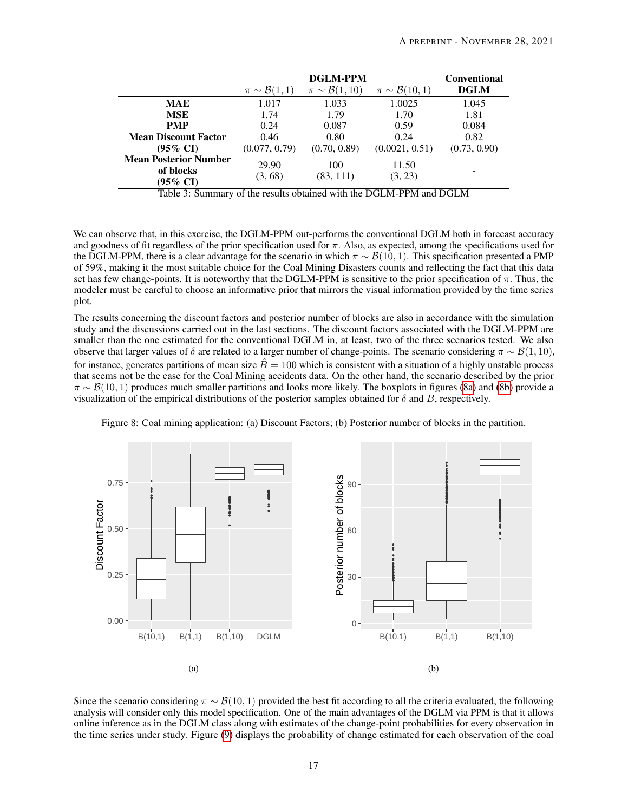<span id="page-16-0"></span>

|                                                       |                  | <b>Conventional</b>               |                               |              |
|-------------------------------------------------------|------------------|-----------------------------------|-------------------------------|--------------|
|                                                       | $\pi \sim 150$   | $\mathcal{B}(1,10)$<br>$\pi \sim$ | $\pi \sim \mathcal{B}(10, 1)$ | <b>DGLM</b>  |
| MAE                                                   | 1.017            | 1.033                             | 1.0025                        | 1.045        |
| <b>MSE</b>                                            | 1.74             | 1.79                              | 1.70                          | 1.81         |
| <b>PMP</b>                                            | 0.24             | 0.087                             | 0.59                          | 0.084        |
| <b>Mean Discount Factor</b>                           | 0.46             | 0.80                              | 0.24                          | 0.82         |
| $(95\% \text{ CI})$                                   | (0.077, 0.79)    | (0.70, 0.89)                      | (0.0021, 0.51)                | (0.73, 0.90) |
| <b>Mean Posterior Number</b><br>of blocks<br>(95% CI) | 29.90<br>(3, 68) | 100<br>(83, 111)                  | 11.50<br>(3, 23)              |              |

Table 3: Summary of the results obtained with the DGLM-PPM and DGLM

We can observe that, in this exercise, the DGLM-PPM out-performs the conventional DGLM both in forecast accuracy and goodness of fit regardless of the prior specification used for  $\pi$ . Also, as expected, among the specifications used for the DGLM-PPM, there is a clear advantage for the scenario in which  $\pi \sim \mathcal{B}(10, 1)$ . This specification presented a PMP of 59%, making it the most suitable choice for the Coal Mining Disasters counts and reflecting the fact that this data set has few change-points. It is noteworthy that the DGLM-PPM is sensitive to the prior specification of  $\pi$ . Thus, the modeler must be careful to choose an informative prior that mirrors the visual information provided by the time series plot.

The results concerning the discount factors and posterior number of blocks are also in accordance with the simulation study and the discussions carried out in the last sections. The discount factors associated with the DGLM-PPM are smaller than the one estimated for the conventional DGLM in, at least, two of the three scenarios tested. We also observe that larger values of  $\delta$  are related to a larger number of change-points. The scenario considering  $\pi \sim \mathcal{B}(1, 10)$ , for instance, generates partitions of mean size  $\bar{B} = 100$  which is consistent with a situation of a highly unstable process that seems not be the case for the Coal Mining accidents data. On the other hand, the scenario described by the prior  $\pi \sim \mathcal{B}(10, 1)$  produces much smaller partitions and looks more likely. The boxplots in figures [\(8a\)](#page-16-1) and [\(8b\)](#page-16-1) provide a visualization of the empirical distributions of the posterior samples obtained for  $\delta$  and B, respectively.

<span id="page-16-1"></span>

Figure 8: Coal mining application: (a) Discount Factors; (b) Posterior number of blocks in the partition.

Since the scenario considering  $\pi \sim \mathcal{B}(10, 1)$  provided the best fit according to all the criteria evaluated, the following analysis will consider only this model specification. One of the main advantages of the DGLM via PPM is that it allows online inference as in the DGLM class along with estimates of the change-point probabilities for every observation in the time series under study. Figure [\(9\)](#page-17-0) displays the probability of change estimated for each observation of the coal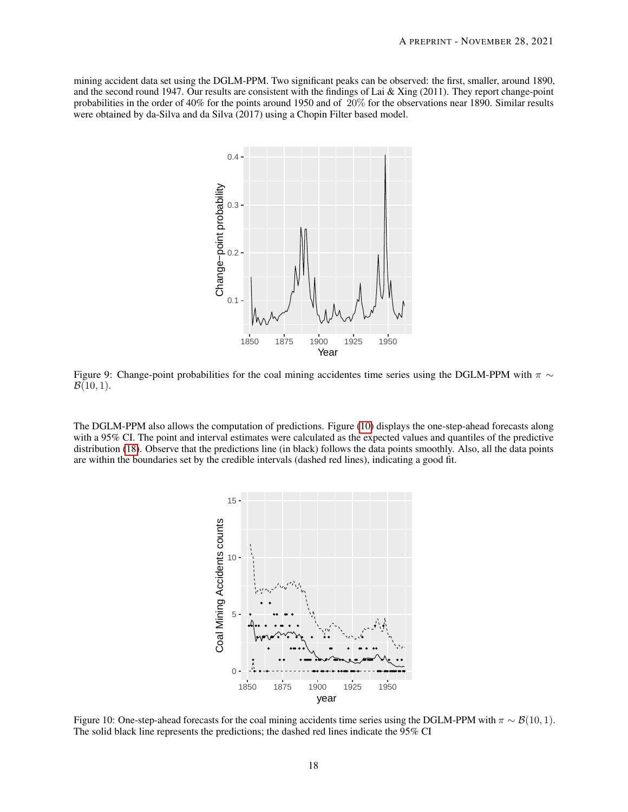<span id="page-17-0"></span>mining accident data set using the DGLM-PPM. Two significant peaks can be observed: the first, smaller, around 1890, and the second round 1947. Our results are consistent with the findings of Lai & Xing (2011). They report change-point probabilities in the order of 40% for the points around 1950 and of 20% for the observations near 1890. Similar results were obtained by da-Silva and da Silva (2017) using a Chopin Filter based model.



Figure 9: Change-point probabilities for the coal mining accidentes time series using the DGLM-PPM with  $\pi \sim$  $\mathcal{B}(10, 1)$ .

<span id="page-17-1"></span>The DGLM-PPM also allows the computation of predictions. Figure [\(10\)](#page-17-1) displays the one-step-ahead forecasts along with a 95% CI. The point and interval estimates were calculated as the expected values and quantiles of the predictive distribution [\(18\)](#page-5-0). Observe that the predictions line (in black) follows the data points smoothly. Also, all the data points are within the boundaries set by the credible intervals (dashed red lines), indicating a good fit.



Figure 10: One-step-ahead forecasts for the coal mining accidents time series using the DGLM-PPM with  $\pi \sim \mathcal{B}(10, 1)$ . The solid black line represents the predictions; the dashed red lines indicate the 95% CI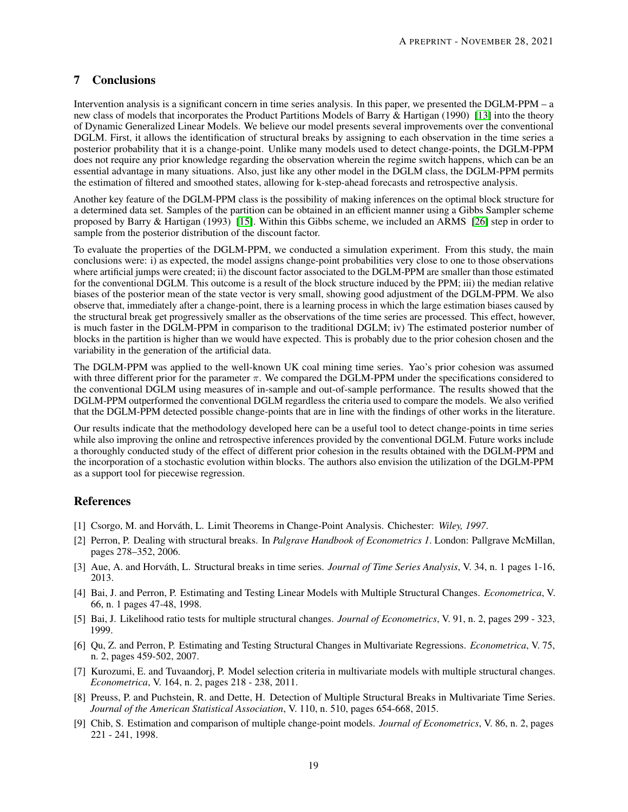# 7 Conclusions

Intervention analysis is a significant concern in time series analysis. In this paper, we presented the DGLM-PPM – a new class of models that incorporates the Product Partitions Models of Barry & Hartigan (1990) [\[13\]](#page-19-5) into the theory of Dynamic Generalized Linear Models. We believe our model presents several improvements over the conventional DGLM. First, it allows the identification of structural breaks by assigning to each observation in the time series a posterior probability that it is a change-point. Unlike many models used to detect change-points, the DGLM-PPM does not require any prior knowledge regarding the observation wherein the regime switch happens, which can be an essential advantage in many situations. Also, just like any other model in the DGLM class, the DGLM-PPM permits the estimation of filtered and smoothed states, allowing for k-step-ahead forecasts and retrospective analysis.

Another key feature of the DGLM-PPM class is the possibility of making inferences on the optimal block structure for a determined data set. Samples of the partition can be obtained in an efficient manner using a Gibbs Sampler scheme proposed by Barry & Hartigan (1993) [\[15\]](#page-19-12). Within this Gibbs scheme, we included an ARMS [\[26\]](#page-19-18) step in order to sample from the posterior distribution of the discount factor.

To evaluate the properties of the DGLM-PPM, we conducted a simulation experiment. From this study, the main conclusions were: i) as expected, the model assigns change-point probabilities very close to one to those observations where artificial jumps were created; ii) the discount factor associated to the DGLM-PPM are smaller than those estimated for the conventional DGLM. This outcome is a result of the block structure induced by the PPM; iii) the median relative biases of the posterior mean of the state vector is very small, showing good adjustment of the DGLM-PPM. We also observe that, immediately after a change-point, there is a learning process in which the large estimation biases caused by the structural break get progressively smaller as the observations of the time series are processed. This effect, however, is much faster in the DGLM-PPM in comparison to the traditional DGLM; iv) The estimated posterior number of blocks in the partition is higher than we would have expected. This is probably due to the prior cohesion chosen and the variability in the generation of the artificial data.

The DGLM-PPM was applied to the well-known UK coal mining time series. Yao's prior cohesion was assumed with three different prior for the parameter  $\pi$ . We compared the DGLM-PPM under the specifications considered to the conventional DGLM using measures of in-sample and out-of-sample performance. The results showed that the DGLM-PPM outperformed the conventional DGLM regardless the criteria used to compare the models. We also verified that the DGLM-PPM detected possible change-points that are in line with the findings of other works in the literature.

Our results indicate that the methodology developed here can be a useful tool to detect change-points in time series while also improving the online and retrospective inferences provided by the conventional DGLM. Future works include a thoroughly conducted study of the effect of different prior cohesion in the results obtained with the DGLM-PPM and the incorporation of a stochastic evolution within blocks. The authors also envision the utilization of the DGLM-PPM as a support tool for piecewise regression.

# References

- <span id="page-18-0"></span>[1] Csorgo, M. and Horváth, L. Limit Theorems in Change-Point Analysis. Chichester: *Wiley, 1997*.
- <span id="page-18-1"></span>[2] Perron, P. Dealing with structural breaks. In *Palgrave Handbook of Econometrics 1*. London: Pallgrave McMillan, pages 278–352, 2006.
- <span id="page-18-2"></span>[3] Aue, A. and Horváth, L. Structural breaks in time series. *Journal of Time Series Analysis*, V. 34, n. 1 pages 1-16, 2013.
- <span id="page-18-3"></span>[4] Bai, J. and Perron, P. Estimating and Testing Linear Models with Multiple Structural Changes. *Econometrica*, V. 66, n. 1 pages 47-48, 1998.
- <span id="page-18-4"></span>[5] Bai, J. Likelihood ratio tests for multiple structural changes. *Journal of Econometrics*, V. 91, n. 2, pages 299 - 323, 1999.
- <span id="page-18-5"></span>[6] Qu, Z. and Perron, P. Estimating and Testing Structural Changes in Multivariate Regressions. *Econometrica*, V. 75, n. 2, pages 459-502, 2007.
- <span id="page-18-6"></span>[7] Kurozumi, E. and Tuvaandorj, P. Model selection criteria in multivariate models with multiple structural changes. *Econometrica*, V. 164, n. 2, pages 218 - 238, 2011.
- <span id="page-18-7"></span>[8] Preuss, P. and Puchstein, R. and Dette, H. Detection of Multiple Structural Breaks in Multivariate Time Series. *Journal of the American Statistical Association*, V. 110, n. 510, pages 654-668, 2015.
- <span id="page-18-8"></span>[9] Chib, S. Estimation and comparison of multiple change-point models. *Journal of Econometrics*, V. 86, n. 2, pages 221 - 241, 1998.